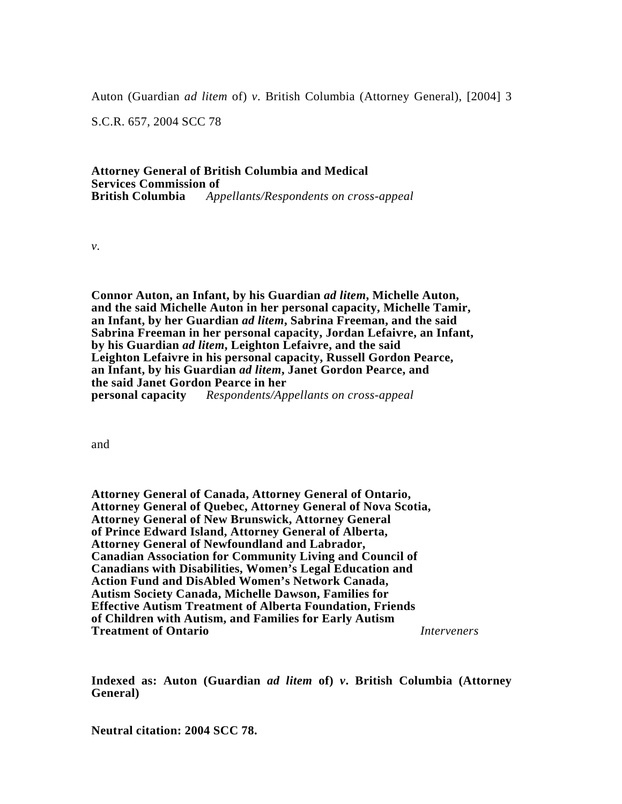Auton (Guardian *ad litem* of) *v*. British Columbia (Attorney General), [2004] 3

S.C.R. 657, 2004 SCC 78

# **Attorney General of British Columbia and Medical Services Commission of British Columbia** *Appellants/Respondents on cross-appeal*

*v.*

**Connor Auton, an Infant, by his Guardian** *ad litem***, Michelle Auton, and the said Michelle Auton in her personal capacity, Michelle Tamir, an Infant, by her Guardian** *ad litem***, Sabrina Freeman, and the said Sabrina Freeman in her personal capacity, Jordan Lefaivre, an Infant, by his Guardian** *ad litem***, Leighton Lefaivre, and the said Leighton Lefaivre in his personal capacity, Russell Gordon Pearce, an Infant, by his Guardian** *ad litem***, Janet Gordon Pearce, and the said Janet Gordon Pearce in her personal capacity** *Respondents/Appellants on cross-appeal*

and

**Attorney General of Canada, Attorney General of Ontario, Attorney General of Quebec, Attorney General of Nova Scotia, Attorney General of New Brunswick, Attorney General of Prince Edward Island, Attorney General of Alberta, Attorney General of Newfoundland and Labrador, Canadian Association for Community Living and Council of Canadians with Disabilities, Women's Legal Education and Action Fund and DisAbled Women's Network Canada, Autism Society Canada, Michelle Dawson, Families for Effective Autism Treatment of Alberta Foundation, Friends of Children with Autism, and Families for Early Autism Treatment of Ontario** *Interveners*

**Indexed as: Auton (Guardian** *ad litem* **of)** *v***. British Columbia (Attorney General)**

**Neutral citation: 2004 SCC 78.**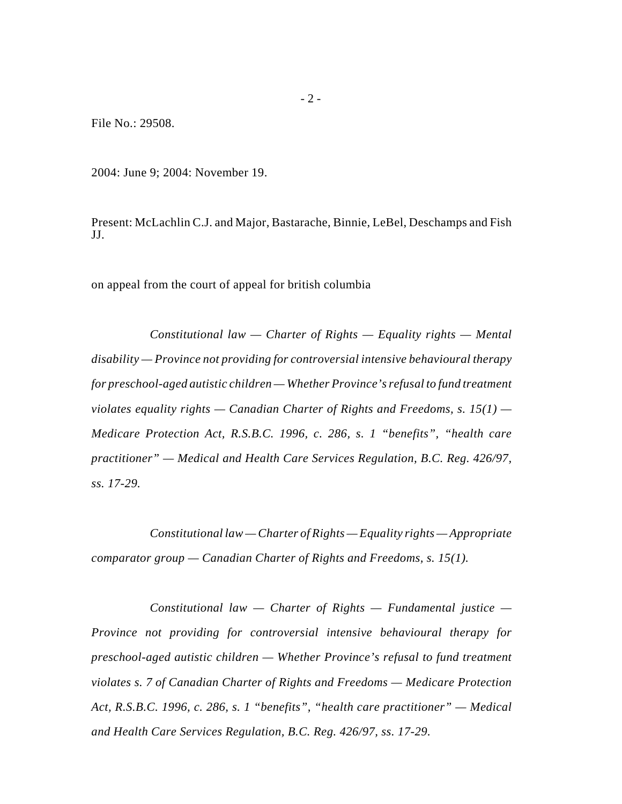File No.: 29508.

2004: June 9; 2004: November 19.

Present: McLachlin C.J. and Major, Bastarache, Binnie, LeBel, Deschamps and Fish JJ.

on appeal from the court of appeal for british columbia

*Constitutional law — Charter of Rights — Equality rights — Mental disability — Province not providing for controversial intensive behavioural therapy for preschool-aged autistic children — Whether Province's refusal to fund treatment violates equality rights — Canadian Charter of Rights and Freedoms, s. 15(1) — Medicare Protection Act, R.S.B.C. 1996, c. 286, s. 1 "benefits", "health care practitioner" — Medical and Health Care Services Regulation, B.C. Reg. 426/97, ss. 17-29.*

*Constitutional law — Charter of Rights — Equality rights — Appropriate comparator group — Canadian Charter of Rights and Freedoms, s. 15(1).*

*Constitutional law — Charter of Rights — Fundamental justice — Province not providing for controversial intensive behavioural therapy for preschool-aged autistic children — Whether Province's refusal to fund treatment violates s. 7 of Canadian Charter of Rights and Freedoms — Medicare Protection Act, R.S.B.C. 1996, c. 286, s. 1 "benefits", "health care practitioner" — Medical and Health Care Services Regulation, B.C. Reg. 426/97, ss. 17-29.*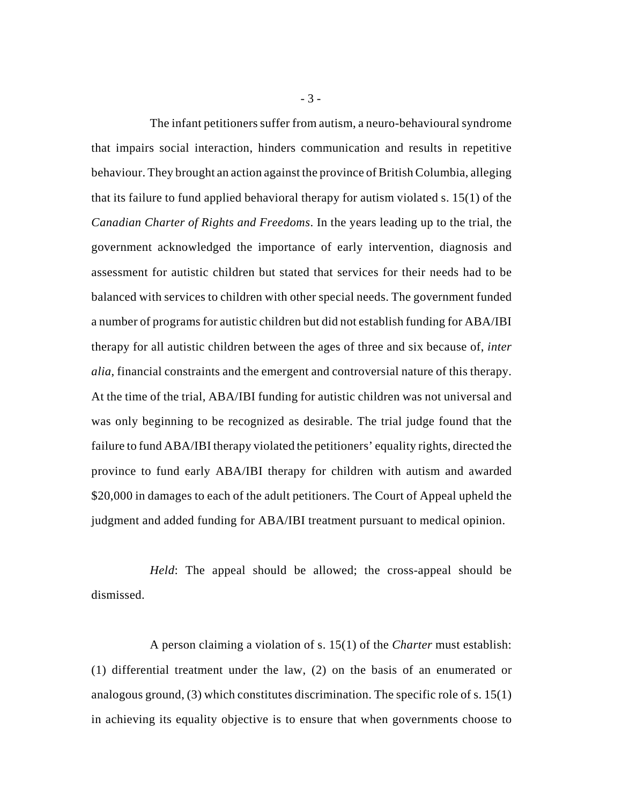The infant petitioners suffer from autism, a neuro-behavioural syndrome that impairs social interaction, hinders communication and results in repetitive behaviour. They brought an action against the province of British Columbia, alleging that its failure to fund applied behavioral therapy for autism violated s. 15(1) of the *Canadian Charter of Rights and Freedoms*. In the years leading up to the trial, the government acknowledged the importance of early intervention, diagnosis and assessment for autistic children but stated that services for their needs had to be balanced with services to children with other special needs. The government funded a number of programs for autistic children but did not establish funding for ABA/IBI therapy for all autistic children between the ages of three and six because of, *inter alia*, financial constraints and the emergent and controversial nature of this therapy. At the time of the trial, ABA/IBI funding for autistic children was not universal and was only beginning to be recognized as desirable. The trial judge found that the failure to fund ABA/IBI therapy violated the petitioners' equality rights, directed the province to fund early ABA/IBI therapy for children with autism and awarded \$20,000 in damages to each of the adult petitioners. The Court of Appeal upheld the judgment and added funding for ABA/IBI treatment pursuant to medical opinion.

*Held*: The appeal should be allowed; the cross-appeal should be dismissed.

A person claiming a violation of s. 15(1) of the *Charter* must establish: (1) differential treatment under the law, (2) on the basis of an enumerated or analogous ground,  $(3)$  which constitutes discrimination. The specific role of s. 15(1) in achieving its equality objective is to ensure that when governments choose to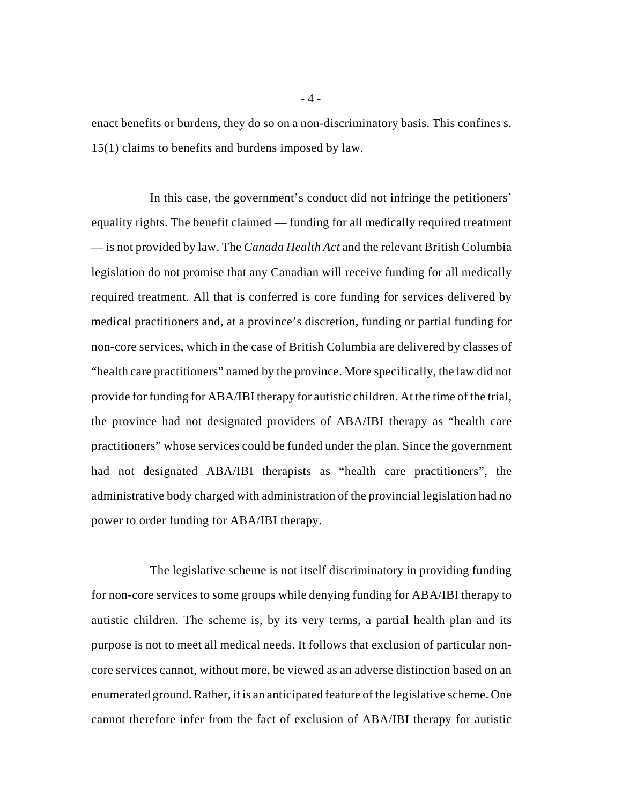enact benefits or burdens, they do so on a non-discriminatory basis. This confines s. 15(1) claims to benefits and burdens imposed by law.

In this case, the government's conduct did not infringe the petitioners' equality rights. The benefit claimed — funding for all medically required treatment — is not provided by law. The *Canada Health Act* and the relevant British Columbia legislation do not promise that any Canadian will receive funding for all medically required treatment. All that is conferred is core funding for services delivered by medical practitioners and, at a province's discretion, funding or partial funding for non-core services, which in the case of British Columbia are delivered by classes of "health care practitioners" named by the province. More specifically, the law did not provide for funding for ABA/IBI therapy for autistic children. At the time of the trial, the province had not designated providers of ABA/IBI therapy as "health care practitioners" whose services could be funded under the plan. Since the government had not designated ABA/IBI therapists as "health care practitioners", the administrative body charged with administration of the provincial legislation had no power to order funding for ABA/IBI therapy.

The legislative scheme is not itself discriminatory in providing funding for non-core services to some groups while denying funding for ABA/IBI therapy to autistic children. The scheme is, by its very terms, a partial health plan and its purpose is not to meet all medical needs. It follows that exclusion of particular noncore services cannot, without more, be viewed as an adverse distinction based on an enumerated ground. Rather, it is an anticipated feature of the legislative scheme. One cannot therefore infer from the fact of exclusion of ABA/IBI therapy for autistic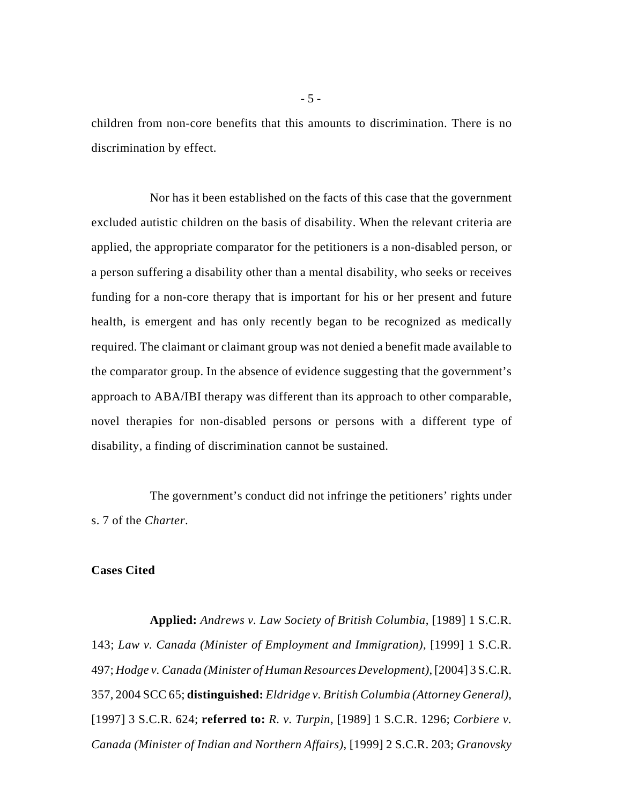children from non-core benefits that this amounts to discrimination. There is no discrimination by effect.

Nor has it been established on the facts of this case that the government excluded autistic children on the basis of disability. When the relevant criteria are applied, the appropriate comparator for the petitioners is a non-disabled person, or a person suffering a disability other than a mental disability, who seeks or receives funding for a non-core therapy that is important for his or her present and future health, is emergent and has only recently began to be recognized as medically required. The claimant or claimant group was not denied a benefit made available to the comparator group. In the absence of evidence suggesting that the government's approach to ABA/IBI therapy was different than its approach to other comparable, novel therapies for non-disabled persons or persons with a different type of disability, a finding of discrimination cannot be sustained.

The government's conduct did not infringe the petitioners' rights under s. 7 of the *Charter*.

# **Cases Cited**

**Applied:** *Andrews v. Law Society of British Columbia*, [1989] 1 S.C.R. 143; *Law v. Canada (Minister of Employment and Immigration)*, [1999] 1 S.C.R. 497; *Hodge v. Canada (Minister of Human Resources Development)*, [2004] 3 S.C.R. 357, 2004 SCC 65; **distinguished:** *Eldridge v. British Columbia (Attorney General)*, [1997] 3 S.C.R. 624; **referred to:** *R. v. Turpin*, [1989] 1 S.C.R. 1296; *Corbiere v. Canada (Minister of Indian and Northern Affairs)*, [1999] 2 S.C.R. 203; *Granovsky*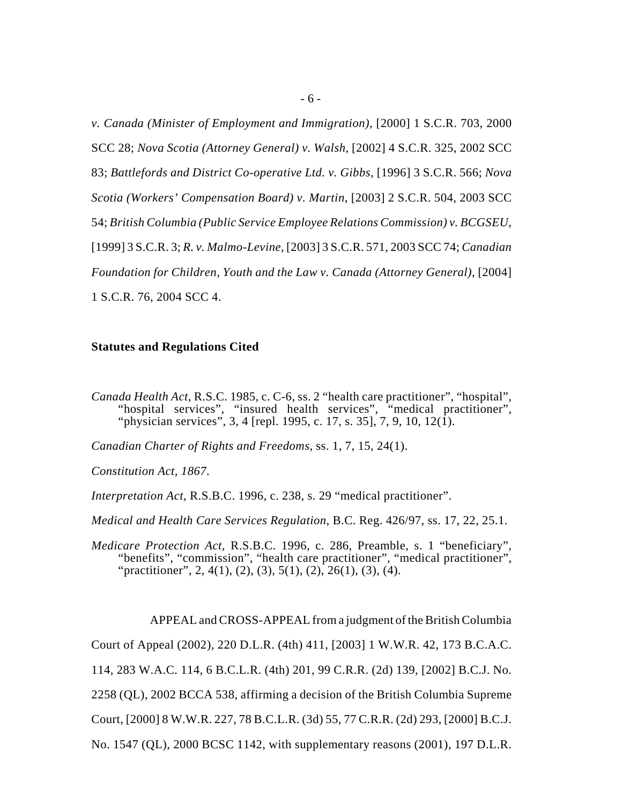*v. Canada (Minister of Employment and Immigration)*, [2000] 1 S.C.R. 703, 2000 SCC 28; *Nova Scotia (Attorney General) v. Walsh*, [2002] 4 S.C.R. 325, 2002 SCC 83; *Battlefords and District Co-operative Ltd. v. Gibbs*, [1996] 3 S.C.R. 566; *Nova Scotia (Workers' Compensation Board) v. Martin*, [2003] 2 S.C.R. 504, 2003 SCC 54; *British Columbia (Public Service Employee Relations Commission) v. BCGSEU*, [1999] 3 S.C.R. 3; *R. v. Malmo-Levine*, [2003] 3 S.C.R. 571, 2003 SCC 74; *Canadian Foundation for Children, Youth and the Law v. Canada (Attorney General)*, [2004] 1 S.C.R. 76, 2004 SCC 4.

# **Statutes and Regulations Cited**

*Canada Health Act*, R.S.C. 1985, c. C-6, ss. 2 "health care practitioner", "hospital", "hospital services", "insured health services", "medical practitioner", "physician services", 3, 4 [repl. 1995, c. 17, s. 35], 7, 9, 10, 12(1).

*Canadian Charter of Rights and Freedoms*, ss. 1, 7, 15, 24(1).

*Constitution Act, 1867*.

*Interpretation Act*, R.S.B.C. 1996, c. 238, s. 29 "medical practitioner".

*Medical and Health Care Services Regulation*, B.C. Reg. 426/97, ss. 17, 22, 25.1.

*Medicare Protection Act*, R.S.B.C. 1996, c. 286, Preamble, s. 1 "beneficiary", "benefits", "commission", "health care practitioner", "medical practitioner", "practitioner", 2, 4(1), (2), (3), 5(1), (2), 26(1), (3), (4).

APPEAL and CROSS-APPEAL from a judgment of the British Columbia Court of Appeal (2002), 220 D.L.R. (4th) 411, [2003] 1 W.W.R. 42, 173 B.C.A.C. 114, 283 W.A.C. 114, 6 B.C.L.R. (4th) 201, 99 C.R.R. (2d) 139, [2002] B.C.J. No. 2258 (QL), 2002 BCCA 538, affirming a decision of the British Columbia Supreme Court, [2000] 8 W.W.R. 227, 78 B.C.L.R. (3d) 55, 77 C.R.R. (2d) 293, [2000] B.C.J. No. 1547 (QL), 2000 BCSC 1142, with supplementary reasons (2001), 197 D.L.R.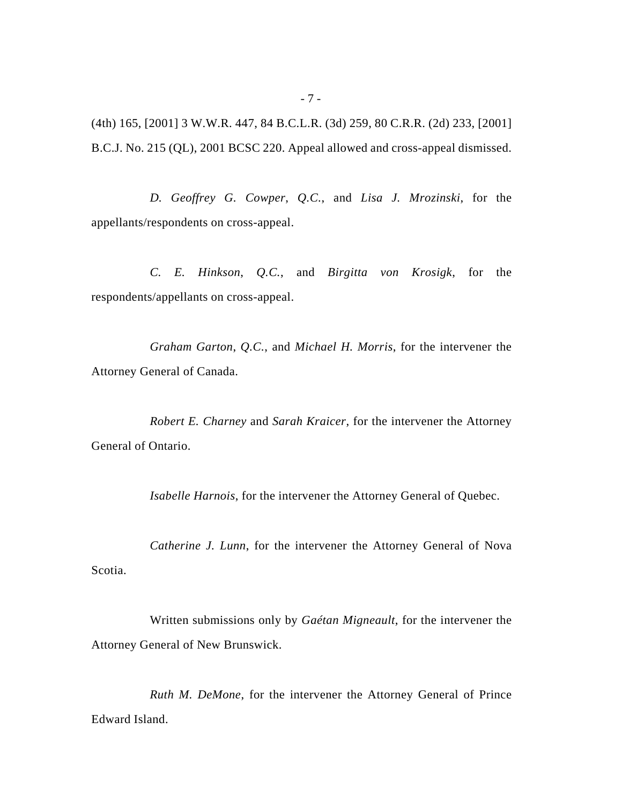(4th) 165, [2001] 3 W.W.R. 447, 84 B.C.L.R. (3d) 259, 80 C.R.R. (2d) 233, [2001] B.C.J. No. 215 (QL), 2001 BCSC 220. Appeal allowed and cross-appeal dismissed.

*D. Geoffrey G. Cowper*, *Q.C.*, and *Lisa J. Mrozinski*, for the appellants/respondents on cross-appeal.

*C. E. Hinkson*, *Q.C.*, and *Birgitta von Krosigk*, for the respondents/appellants on cross-appeal.

*Graham Garton*, *Q.C.*, and *Michael H. Morris*, for the intervener the Attorney General of Canada.

*Robert E. Charney* and *Sarah Kraicer*, for the intervener the Attorney General of Ontario.

*Isabelle Harnois*, for the intervener the Attorney General of Quebec.

*Catherine J. Lunn*, for the intervener the Attorney General of Nova Scotia.

Written submissions only by *Gaétan Migneault*, for the intervener the Attorney General of New Brunswick.

*Ruth M. DeMone*, for the intervener the Attorney General of Prince Edward Island.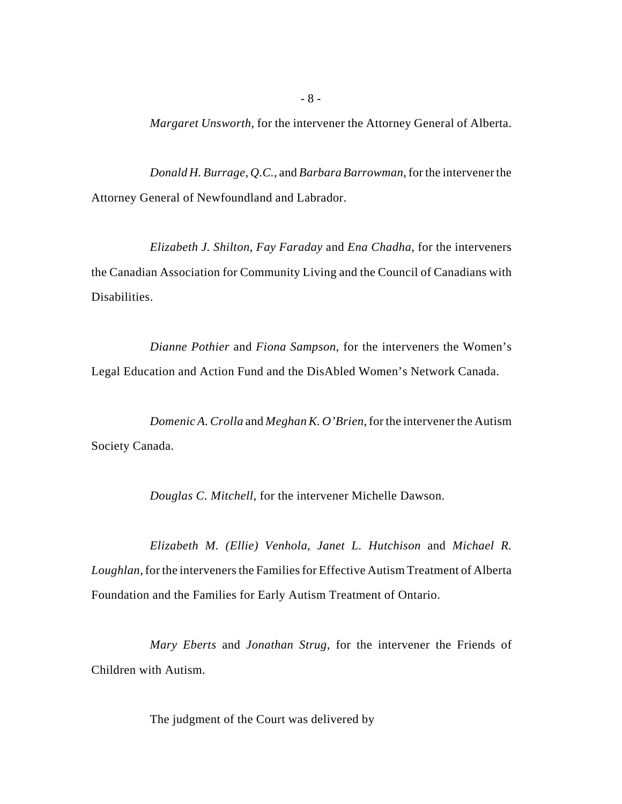*Margaret Unsworth*, for the intervener the Attorney General of Alberta.

*Donald H. Burrage*, *Q.C.*, and *Barbara Barrowman*, for the intervener the Attorney General of Newfoundland and Labrador.

*Elizabeth J. Shilton*, *Fay Faraday* and *Ena Chadha*, for the interveners the Canadian Association for Community Living and the Council of Canadians with Disabilities.

*Dianne Pothier* and *Fiona Sampson*, for the interveners the Women's Legal Education and Action Fund and the DisAbled Women's Network Canada.

*Domenic A. Crolla* and *Meghan K. O'Brien*, for the intervener the Autism Society Canada.

*Douglas C. Mitchell*, for the intervener Michelle Dawson.

*Elizabeth M. (Ellie) Venhola*, *Janet L. Hutchison* and *Michael R. Loughlan*, for the interveners the Families for Effective Autism Treatment of Alberta Foundation and the Families for Early Autism Treatment of Ontario.

*Mary Eberts* and *Jonathan Strug*, for the intervener the Friends of Children with Autism.

The judgment of the Court was delivered by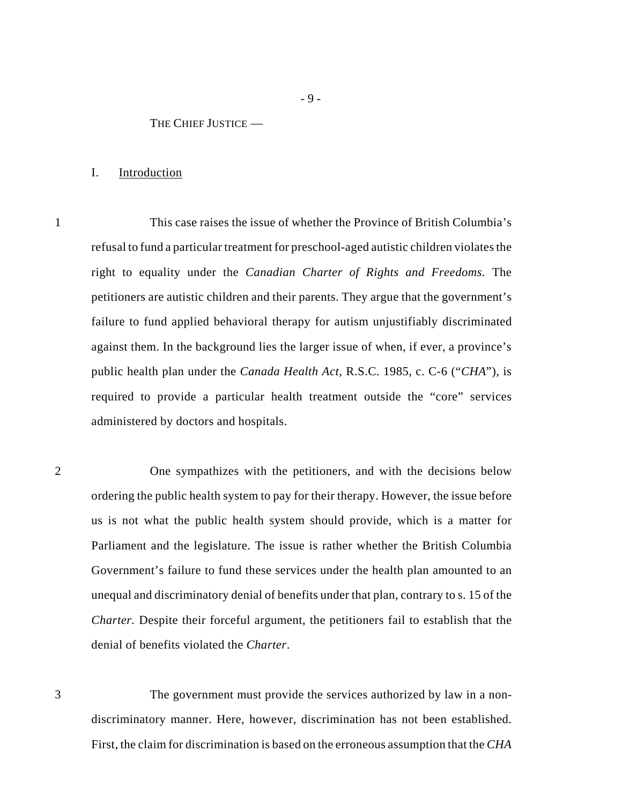### THE CHIEF JUSTICE —

### I. Introduction

1 This case raises the issue of whether the Province of British Columbia's refusal to fund a particular treatment for preschool-aged autistic children violates the right to equality under the *Canadian Charter of Rights and Freedoms.* The petitioners are autistic children and their parents. They argue that the government's failure to fund applied behavioral therapy for autism unjustifiably discriminated against them. In the background lies the larger issue of when, if ever, a province's public health plan under the *Canada Health Act*, R.S.C. 1985, c. C-6 ("*CHA*"), is required to provide a particular health treatment outside the "core" services administered by doctors and hospitals.

2 One sympathizes with the petitioners, and with the decisions below ordering the public health system to pay for their therapy. However, the issue before us is not what the public health system should provide, which is a matter for Parliament and the legislature. The issue is rather whether the British Columbia Government's failure to fund these services under the health plan amounted to an unequal and discriminatory denial of benefits under that plan, contrary to s. 15 of the *Charter.* Despite their forceful argument, the petitioners fail to establish that the denial of benefits violated the *Charter*.

3 The government must provide the services authorized by law in a nondiscriminatory manner. Here, however, discrimination has not been established. First, the claim for discrimination is based on the erroneous assumption that the *CHA*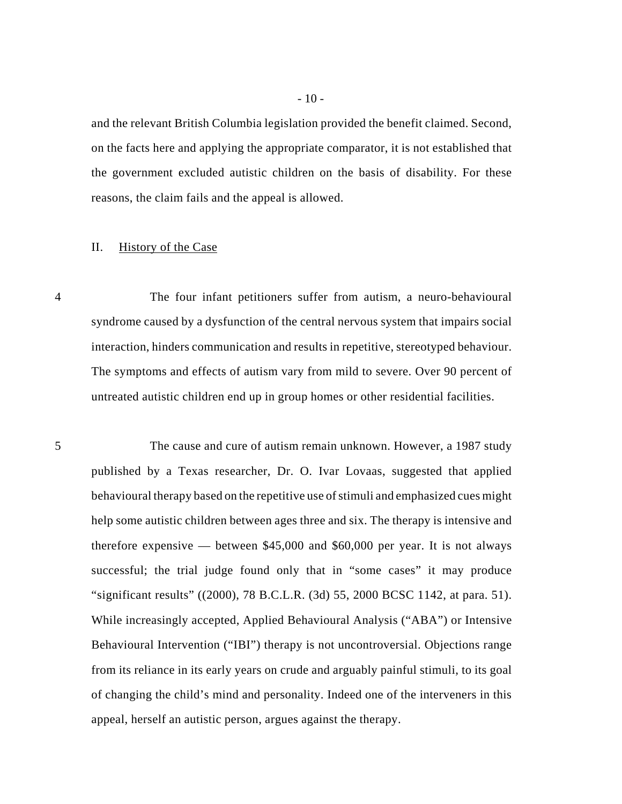and the relevant British Columbia legislation provided the benefit claimed. Second, on the facts here and applying the appropriate comparator, it is not established that the government excluded autistic children on the basis of disability. For these reasons, the claim fails and the appeal is allowed.

### II. History of the Case

4 The four infant petitioners suffer from autism, a neuro-behavioural syndrome caused by a dysfunction of the central nervous system that impairs social interaction, hinders communication and results in repetitive, stereotyped behaviour. The symptoms and effects of autism vary from mild to severe. Over 90 percent of untreated autistic children end up in group homes or other residential facilities.

5 The cause and cure of autism remain unknown. However, a 1987 study published by a Texas researcher, Dr. O. Ivar Lovaas, suggested that applied behavioural therapy based on the repetitive use of stimuli and emphasized cues might help some autistic children between ages three and six. The therapy is intensive and therefore expensive — between \$45,000 and \$60,000 per year. It is not always successful; the trial judge found only that in "some cases" it may produce "significant results" ((2000), 78 B.C.L.R. (3d) 55, 2000 BCSC 1142, at para. 51). While increasingly accepted, Applied Behavioural Analysis ("ABA") or Intensive Behavioural Intervention ("IBI") therapy is not uncontroversial. Objections range from its reliance in its early years on crude and arguably painful stimuli, to its goal of changing the child's mind and personality. Indeed one of the interveners in this appeal, herself an autistic person, argues against the therapy.

- 10 -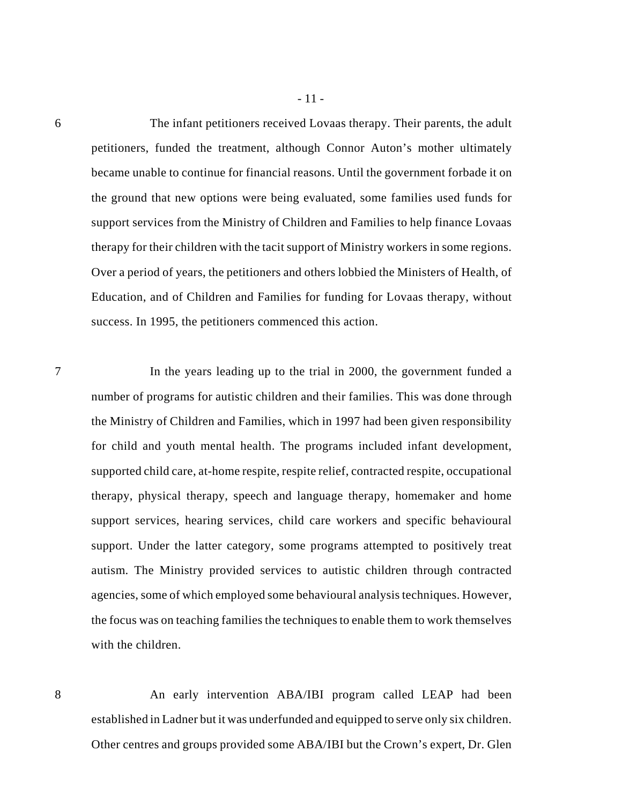6 The infant petitioners received Lovaas therapy. Their parents, the adult petitioners, funded the treatment, although Connor Auton's mother ultimately became unable to continue for financial reasons. Until the government forbade it on the ground that new options were being evaluated, some families used funds for support services from the Ministry of Children and Families to help finance Lovaas therapy for their children with the tacit support of Ministry workers in some regions. Over a period of years, the petitioners and others lobbied the Ministers of Health, of Education, and of Children and Families for funding for Lovaas therapy, without success. In 1995, the petitioners commenced this action.

- 11 -

7 In the years leading up to the trial in 2000, the government funded a number of programs for autistic children and their families. This was done through the Ministry of Children and Families, which in 1997 had been given responsibility for child and youth mental health. The programs included infant development, supported child care, at-home respite, respite relief, contracted respite, occupational therapy, physical therapy, speech and language therapy, homemaker and home support services, hearing services, child care workers and specific behavioural support. Under the latter category, some programs attempted to positively treat autism. The Ministry provided services to autistic children through contracted agencies, some of which employed some behavioural analysis techniques. However, the focus was on teaching families the techniques to enable them to work themselves with the children.

8 An early intervention ABA/IBI program called LEAP had been established in Ladner but it was underfunded and equipped to serve only six children. Other centres and groups provided some ABA/IBI but the Crown's expert, Dr. Glen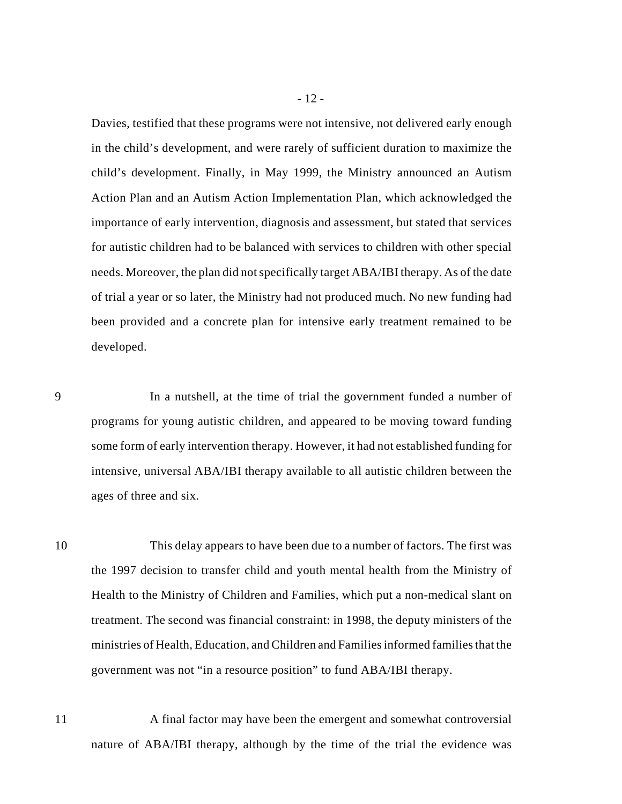Davies, testified that these programs were not intensive, not delivered early enough in the child's development, and were rarely of sufficient duration to maximize the child's development. Finally, in May 1999, the Ministry announced an Autism Action Plan and an Autism Action Implementation Plan, which acknowledged the importance of early intervention, diagnosis and assessment, but stated that services for autistic children had to be balanced with services to children with other special needs. Moreover, the plan did not specifically target ABA/IBI therapy. As of the date of trial a year or so later, the Ministry had not produced much. No new funding had been provided and a concrete plan for intensive early treatment remained to be developed.

9 In a nutshell, at the time of trial the government funded a number of programs for young autistic children, and appeared to be moving toward funding some form of early intervention therapy. However, it had not established funding for intensive, universal ABA/IBI therapy available to all autistic children between the ages of three and six.

10 This delay appears to have been due to a number of factors. The first was the 1997 decision to transfer child and youth mental health from the Ministry of Health to the Ministry of Children and Families, which put a non-medical slant on treatment. The second was financial constraint: in 1998, the deputy ministers of the ministries of Health, Education, and Children and Families informed families that the government was not "in a resource position" to fund ABA/IBI therapy.

11 A final factor may have been the emergent and somewhat controversial nature of ABA/IBI therapy, although by the time of the trial the evidence was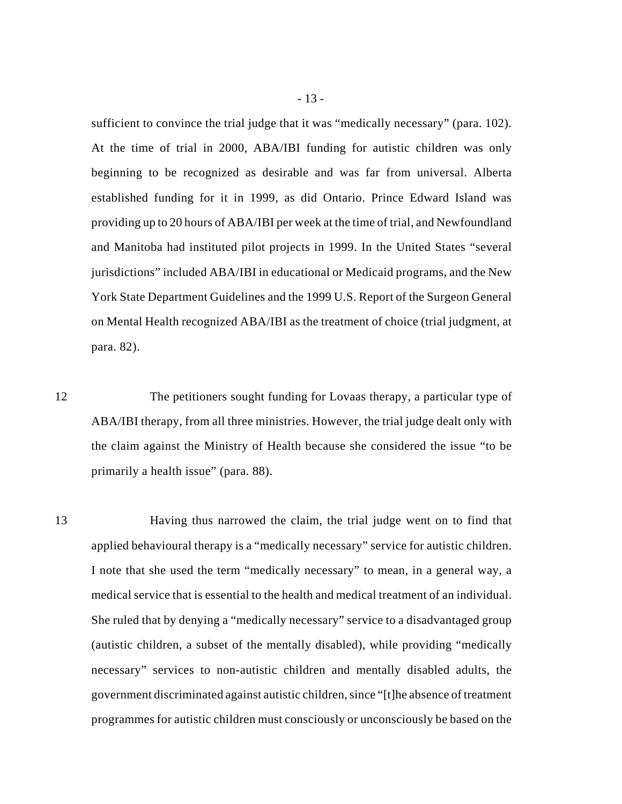sufficient to convince the trial judge that it was "medically necessary" (para. 102). At the time of trial in 2000, ABA/IBI funding for autistic children was only beginning to be recognized as desirable and was far from universal. Alberta established funding for it in 1999, as did Ontario. Prince Edward Island was providing up to 20 hours of ABA/IBI per week at the time of trial, and Newfoundland and Manitoba had instituted pilot projects in 1999. In the United States "several jurisdictions" included ABA/IBI in educational or Medicaid programs, and the New York State Department Guidelines and the 1999 U.S. Report of the Surgeon General on Mental Health recognized ABA/IBI as the treatment of choice (trial judgment, at para. 82).

12 The petitioners sought funding for Lovaas therapy, a particular type of ABA/IBI therapy, from all three ministries. However, the trial judge dealt only with the claim against the Ministry of Health because she considered the issue "to be primarily a health issue" (para. 88).

13 Having thus narrowed the claim, the trial judge went on to find that applied behavioural therapy is a "medically necessary" service for autistic children. I note that she used the term "medically necessary" to mean, in a general way, a medical service that is essential to the health and medical treatment of an individual. She ruled that by denying a "medically necessary" service to a disadvantaged group (autistic children, a subset of the mentally disabled), while providing "medically necessary" services to non-autistic children and mentally disabled adults, the government discriminated against autistic children, since "[t]he absence of treatment programmes for autistic children must consciously or unconsciously be based on the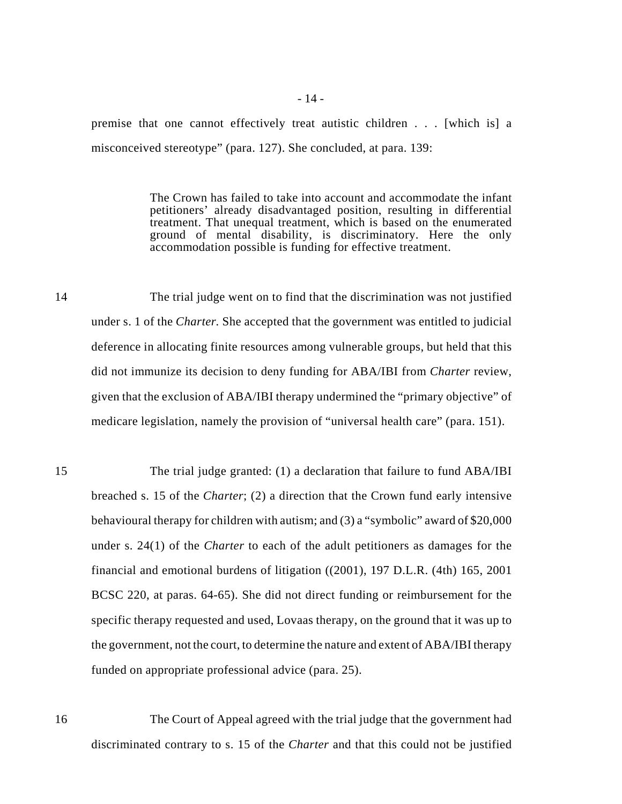premise that one cannot effectively treat autistic children . . . [which is] a misconceived stereotype" (para. 127). She concluded, at para. 139:

> The Crown has failed to take into account and accommodate the infant petitioners' already disadvantaged position, resulting in differential treatment. That unequal treatment, which is based on the enumerated ground of mental disability, is discriminatory. Here the only accommodation possible is funding for effective treatment.

- 14 The trial judge went on to find that the discrimination was not justified under s. 1 of the *Charter.* She accepted that the government was entitled to judicial deference in allocating finite resources among vulnerable groups, but held that this did not immunize its decision to deny funding for ABA/IBI from *Charter* review, given that the exclusion of ABA/IBI therapy undermined the "primary objective" of medicare legislation, namely the provision of "universal health care" (para. 151).
- 15 The trial judge granted: (1) a declaration that failure to fund ABA/IBI breached s. 15 of the *Charter*; (2) a direction that the Crown fund early intensive behavioural therapy for children with autism; and (3) a "symbolic" award of \$20,000 under s. 24(1) of the *Charter* to each of the adult petitioners as damages for the financial and emotional burdens of litigation ((2001), 197 D.L.R. (4th) 165, 2001 BCSC 220, at paras. 64-65). She did not direct funding or reimbursement for the specific therapy requested and used, Lovaas therapy, on the ground that it was up to the government, not the court, to determine the nature and extent of ABA/IBI therapy funded on appropriate professional advice (para. 25).

16 The Court of Appeal agreed with the trial judge that the government had discriminated contrary to s. 15 of the *Charter* and that this could not be justified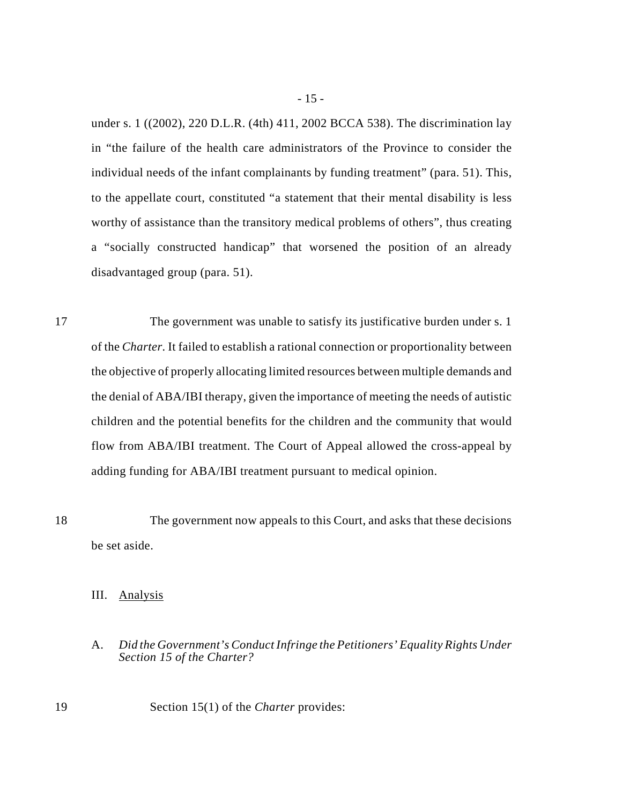under s. 1 ((2002), 220 D.L.R. (4th) 411, 2002 BCCA 538). The discrimination lay in "the failure of the health care administrators of the Province to consider the individual needs of the infant complainants by funding treatment" (para. 51). This, to the appellate court, constituted "a statement that their mental disability is less worthy of assistance than the transitory medical problems of others", thus creating a "socially constructed handicap" that worsened the position of an already disadvantaged group (para. 51).

17 The government was unable to satisfy its justificative burden under s. 1 of the *Charter.* It failed to establish a rational connection or proportionality between the objective of properly allocating limited resources between multiple demands and the denial of ABA/IBI therapy, given the importance of meeting the needs of autistic children and the potential benefits for the children and the community that would flow from ABA/IBI treatment. The Court of Appeal allowed the cross-appeal by adding funding for ABA/IBI treatment pursuant to medical opinion.

18 The government now appeals to this Court, and asks that these decisions be set aside.

III. Analysis

# A. *Did the Government's Conduct Infringe the Petitioners' Equality Rights Under Section 15 of the Charter?*

19 Section 15(1) of the *Charter* provides: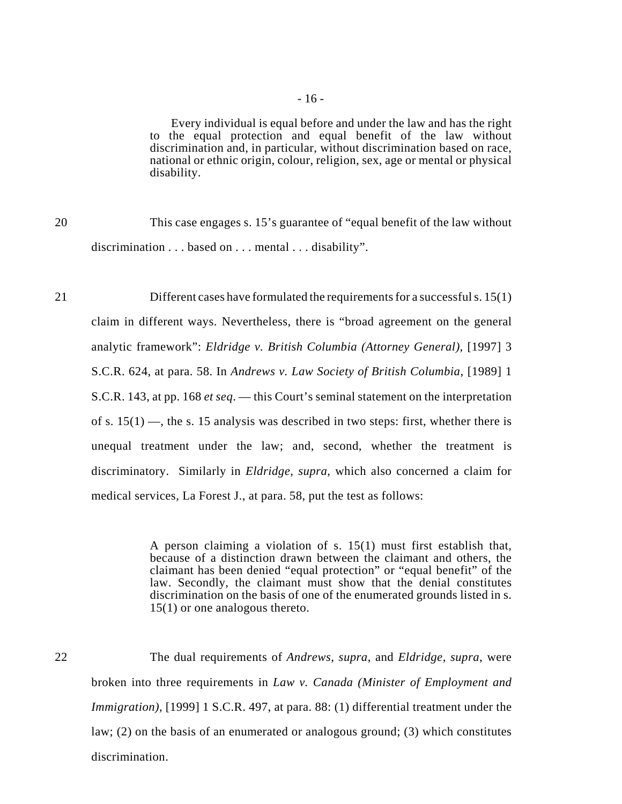Every individual is equal before and under the law and has the right to the equal protection and equal benefit of the law without discrimination and, in particular, without discrimination based on race, national or ethnic origin, colour, religion, sex, age or mental or physical disability.

20 This case engages s. 15's guarantee of "equal benefit of the law without discrimination . . . based on . . . mental . . . disability".

21 Different cases have formulated the requirements for a successful s. 15(1) claim in different ways. Nevertheless, there is "broad agreement on the general analytic framework": *Eldridge v. British Columbia (Attorney General)*, [1997] 3 S.C.R. 624, at para. 58. In *Andrews v. Law Society of British Columbia*, [1989] 1 S.C.R. 143, at pp. 168 *et seq*. — this Court's seminal statement on the interpretation of s.  $15(1)$  —, the s. 15 analysis was described in two steps: first, whether there is unequal treatment under the law; and, second, whether the treatment is discriminatory. Similarly in *Eldridge*, *supra*, which also concerned a claim for medical services, La Forest J., at para. 58, put the test as follows:

> A person claiming a violation of s. 15(1) must first establish that, because of a distinction drawn between the claimant and others, the claimant has been denied "equal protection" or "equal benefit" of the law. Secondly, the claimant must show that the denial constitutes discrimination on the basis of one of the enumerated grounds listed in s. 15(1) or one analogous thereto.

22 The dual requirements of *Andrews*, *supra*, and *Eldridge*, *supra*, were broken into three requirements in *Law v. Canada (Minister of Employment and Immigration)*, [1999] 1 S.C.R. 497, at para. 88: (1) differential treatment under the law; (2) on the basis of an enumerated or analogous ground; (3) which constitutes discrimination.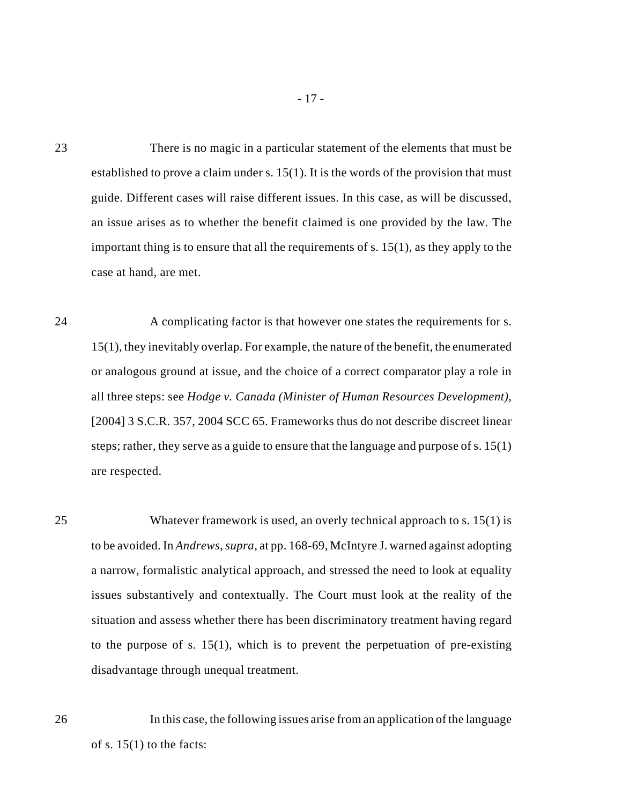23 There is no magic in a particular statement of the elements that must be established to prove a claim under s. 15(1). It is the words of the provision that must guide. Different cases will raise different issues. In this case, as will be discussed, an issue arises as to whether the benefit claimed is one provided by the law. The important thing is to ensure that all the requirements of s. 15(1), as they apply to the case at hand, are met.

- 17 -

24 A complicating factor is that however one states the requirements for s. 15(1), they inevitably overlap. For example, the nature of the benefit, the enumerated or analogous ground at issue, and the choice of a correct comparator play a role in all three steps: see *Hodge v. Canada (Minister of Human Resources Development)*, [2004] 3 S.C.R. 357, 2004 SCC 65. Frameworks thus do not describe discreet linear steps; rather, they serve as a guide to ensure that the language and purpose of s. 15(1) are respected.

25 Whatever framework is used, an overly technical approach to s. 15(1) is to be avoided. In *Andrews*, *supra*, at pp. 168-69, McIntyre J. warned against adopting a narrow, formalistic analytical approach, and stressed the need to look at equality issues substantively and contextually. The Court must look at the reality of the situation and assess whether there has been discriminatory treatment having regard to the purpose of s. 15(1), which is to prevent the perpetuation of pre-existing disadvantage through unequal treatment.

26 In this case, the following issues arise from an application of the language of s.  $15(1)$  to the facts: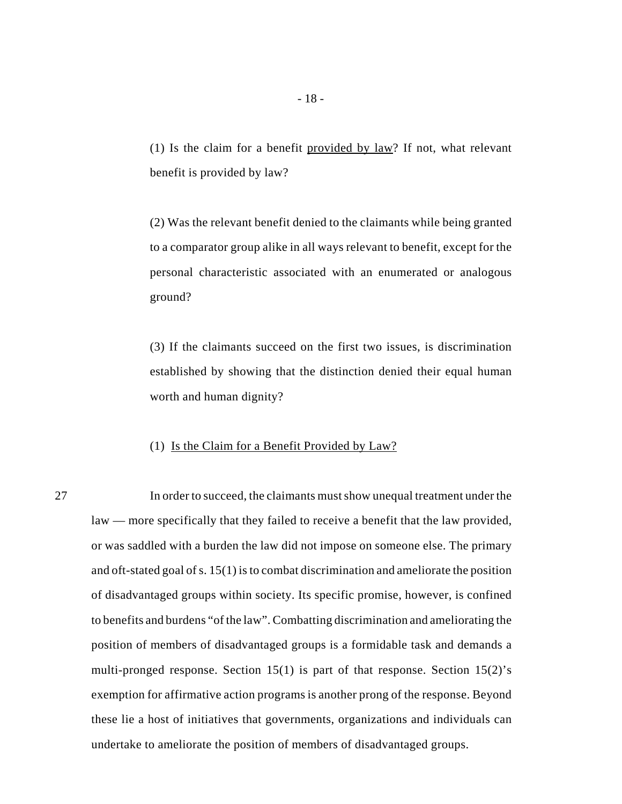(1) Is the claim for a benefit provided by  $law$ ? If not, what relevant benefit is provided by law?

(2) Was the relevant benefit denied to the claimants while being granted to a comparator group alike in all ways relevant to benefit, except for the personal characteristic associated with an enumerated or analogous ground?

(3) If the claimants succeed on the first two issues, is discrimination established by showing that the distinction denied their equal human worth and human dignity?

# (1) Is the Claim for a Benefit Provided by Law?

27 In order to succeed, the claimants must show unequal treatment under the law — more specifically that they failed to receive a benefit that the law provided, or was saddled with a burden the law did not impose on someone else. The primary and oft-stated goal of s. 15(1) is to combat discrimination and ameliorate the position of disadvantaged groups within society. Its specific promise, however, is confined to benefits and burdens "of the law". Combatting discrimination and ameliorating the position of members of disadvantaged groups is a formidable task and demands a multi-pronged response. Section 15(1) is part of that response. Section 15(2)'s exemption for affirmative action programs is another prong of the response. Beyond these lie a host of initiatives that governments, organizations and individuals can undertake to ameliorate the position of members of disadvantaged groups.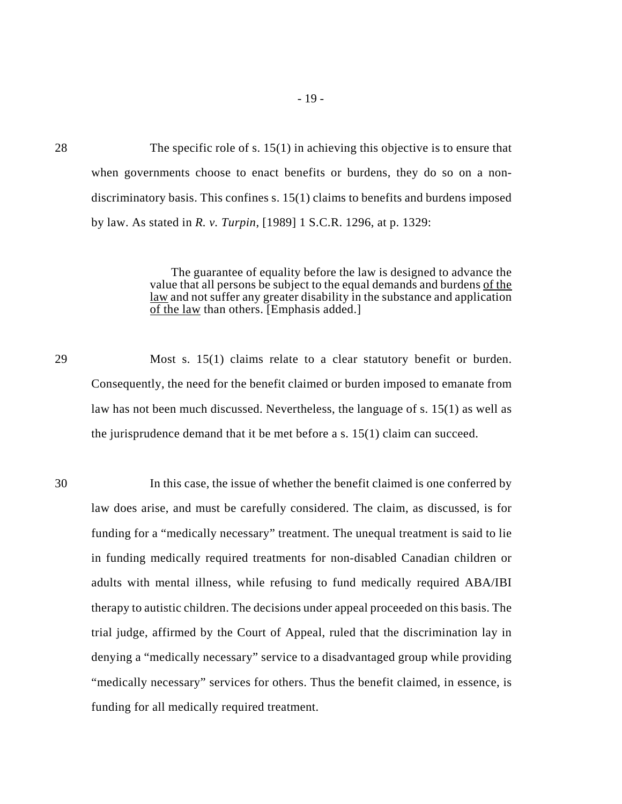28 The specific role of s. 15(1) in achieving this objective is to ensure that when governments choose to enact benefits or burdens, they do so on a nondiscriminatory basis. This confines s. 15(1) claims to benefits and burdens imposed by law. As stated in *R. v. Turpin*, [1989] 1 S.C.R. 1296, at p. 1329:

> The guarantee of equality before the law is designed to advance the value that all persons be subject to the equal demands and burdens of the law and not suffer any greater disability in the substance and application of the law than others. [Emphasis added.]

29 Most s. 15(1) claims relate to a clear statutory benefit or burden. Consequently, the need for the benefit claimed or burden imposed to emanate from law has not been much discussed. Nevertheless, the language of s. 15(1) as well as the jurisprudence demand that it be met before a s.  $15(1)$  claim can succeed.

30 In this case, the issue of whether the benefit claimed is one conferred by law does arise, and must be carefully considered. The claim, as discussed, is for funding for a "medically necessary" treatment. The unequal treatment is said to lie in funding medically required treatments for non-disabled Canadian children or adults with mental illness, while refusing to fund medically required ABA/IBI therapy to autistic children. The decisions under appeal proceeded on this basis. The trial judge, affirmed by the Court of Appeal, ruled that the discrimination lay in denying a "medically necessary" service to a disadvantaged group while providing "medically necessary" services for others. Thus the benefit claimed, in essence, is funding for all medically required treatment.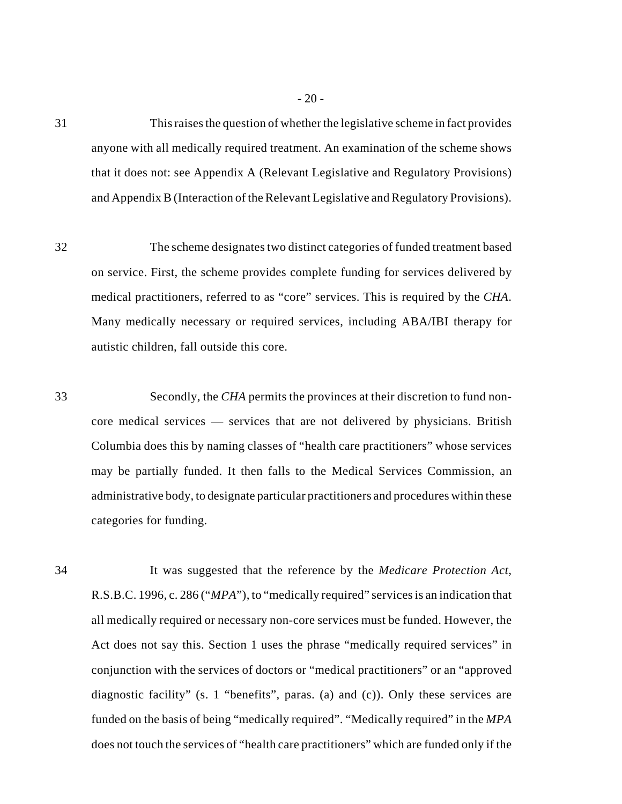31 This raises the question of whether the legislative scheme in fact provides anyone with all medically required treatment. An examination of the scheme shows that it does not: see Appendix A (Relevant Legislative and Regulatory Provisions) and Appendix B (Interaction of the Relevant Legislative and Regulatory Provisions).

32 The scheme designates two distinct categories of funded treatment based on service. First, the scheme provides complete funding for services delivered by medical practitioners, referred to as "core" services. This is required by the *CHA*. Many medically necessary or required services, including ABA/IBI therapy for autistic children, fall outside this core.

33 Secondly, the *CHA* permits the provinces at their discretion to fund noncore medical services — services that are not delivered by physicians. British Columbia does this by naming classes of "health care practitioners" whose services may be partially funded. It then falls to the Medical Services Commission, an administrative body, to designate particular practitioners and procedures within these categories for funding.

34 It was suggested that the reference by the *Medicare Protection Act*, R.S.B.C. 1996, c. 286 ("*MPA*"), to "medically required" services is an indication that all medically required or necessary non-core services must be funded. However, the Act does not say this. Section 1 uses the phrase "medically required services" in conjunction with the services of doctors or "medical practitioners" or an "approved diagnostic facility" (s. 1 "benefits", paras. (a) and (c)). Only these services are funded on the basis of being "medically required". "Medically required" in the *MPA* does not touch the services of "health care practitioners" which are funded only if the

- 20 -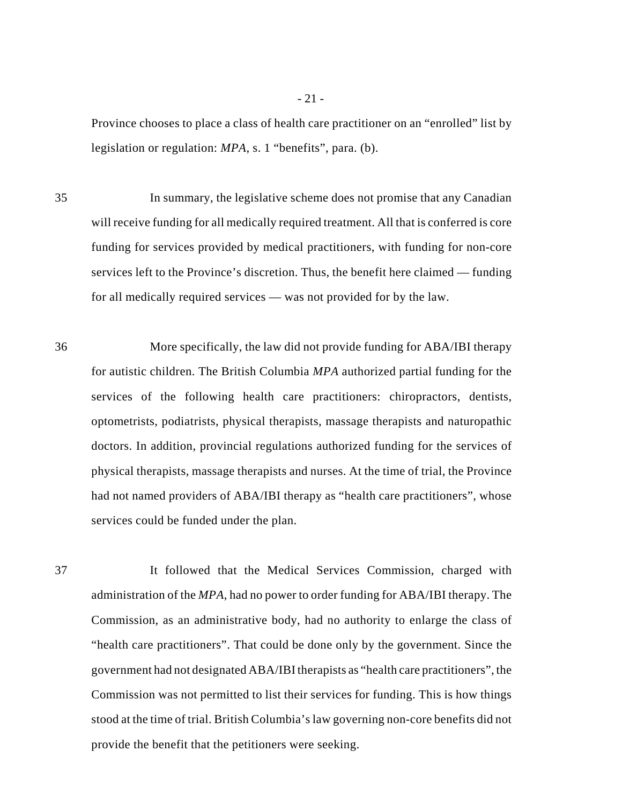Province chooses to place a class of health care practitioner on an "enrolled" list by legislation or regulation: *MPA*, s. 1 "benefits", para. (b).

35 In summary, the legislative scheme does not promise that any Canadian will receive funding for all medically required treatment. All that is conferred is core funding for services provided by medical practitioners, with funding for non-core services left to the Province's discretion. Thus, the benefit here claimed — funding for all medically required services — was not provided for by the law.

36 More specifically, the law did not provide funding for ABA/IBI therapy for autistic children. The British Columbia *MPA* authorized partial funding for the services of the following health care practitioners: chiropractors, dentists, optometrists, podiatrists, physical therapists, massage therapists and naturopathic doctors. In addition, provincial regulations authorized funding for the services of physical therapists, massage therapists and nurses. At the time of trial, the Province had not named providers of ABA/IBI therapy as "health care practitioners", whose services could be funded under the plan.

37 It followed that the Medical Services Commission, charged with administration of the *MPA*, had no power to order funding for ABA/IBI therapy. The Commission, as an administrative body, had no authority to enlarge the class of "health care practitioners". That could be done only by the government. Since the government had not designated ABA/IBI therapists as "health care practitioners", the Commission was not permitted to list their services for funding. This is how things stood at the time of trial. British Columbia's law governing non-core benefits did not provide the benefit that the petitioners were seeking.

- 21 -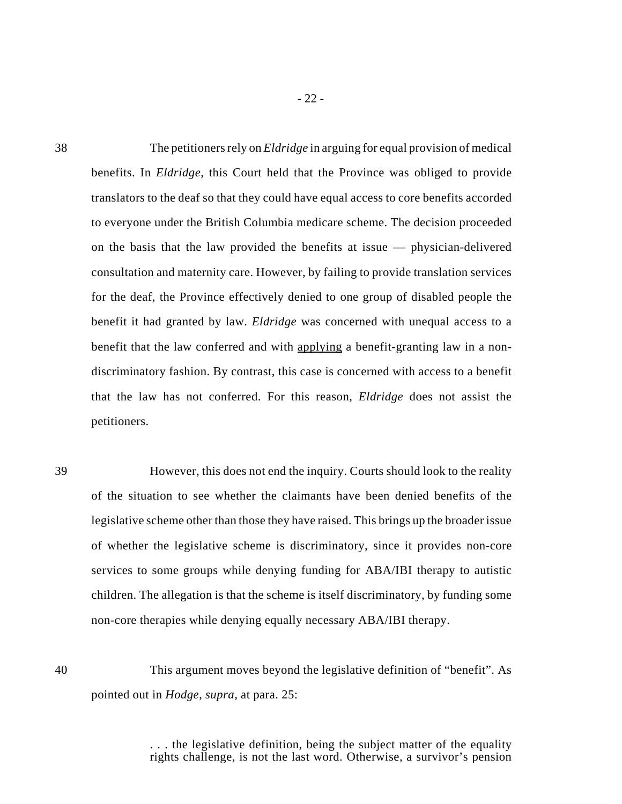38 The petitioners rely on *Eldridge* in arguing for equal provision of medical benefits. In *Eldridge*, this Court held that the Province was obliged to provide translators to the deaf so that they could have equal access to core benefits accorded to everyone under the British Columbia medicare scheme. The decision proceeded on the basis that the law provided the benefits at issue — physician-delivered consultation and maternity care. However, by failing to provide translation services for the deaf, the Province effectively denied to one group of disabled people the benefit it had granted by law. *Eldridge* was concerned with unequal access to a benefit that the law conferred and with applying a benefit-granting law in a nondiscriminatory fashion. By contrast, this case is concerned with access to a benefit that the law has not conferred. For this reason, *Eldridge* does not assist the petitioners.

- 22 -

39 However, this does not end the inquiry. Courts should look to the reality of the situation to see whether the claimants have been denied benefits of the legislative scheme other than those they have raised. This brings up the broader issue of whether the legislative scheme is discriminatory, since it provides non-core services to some groups while denying funding for ABA/IBI therapy to autistic children. The allegation is that the scheme is itself discriminatory, by funding some non-core therapies while denying equally necessary ABA/IBI therapy.

40 This argument moves beyond the legislative definition of "benefit". As pointed out in *Hodge*, *supra*, at para. 25:

> . . . the legislative definition, being the subject matter of the equality rights challenge, is not the last word. Otherwise, a survivor's pension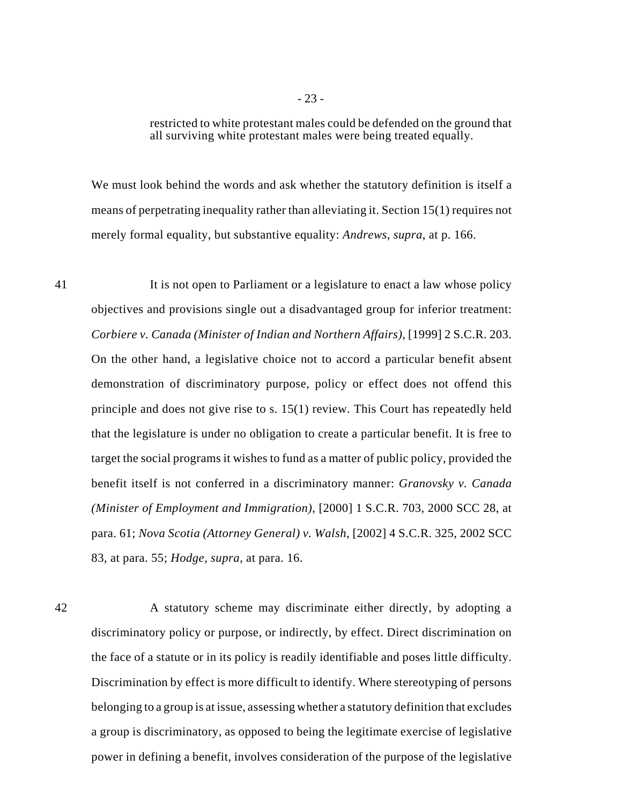restricted to white protestant males could be defended on the ground that all surviving white protestant males were being treated equally.

We must look behind the words and ask whether the statutory definition is itself a means of perpetrating inequality rather than alleviating it. Section 15(1) requires not merely formal equality, but substantive equality: *Andrews*, *supra*, at p. 166.

41 It is not open to Parliament or a legislature to enact a law whose policy objectives and provisions single out a disadvantaged group for inferior treatment: *Corbiere v. Canada (Minister of Indian and Northern Affairs)*, [1999] 2 S.C.R. 203. On the other hand, a legislative choice not to accord a particular benefit absent demonstration of discriminatory purpose, policy or effect does not offend this principle and does not give rise to s. 15(1) review. This Court has repeatedly held that the legislature is under no obligation to create a particular benefit. It is free to target the social programs it wishes to fund as a matter of public policy, provided the benefit itself is not conferred in a discriminatory manner: *Granovsky v. Canada (Minister of Employment and Immigration)*, [2000] 1 S.C.R. 703, 2000 SCC 28, at para. 61; *Nova Scotia (Attorney General) v. Walsh*, [2002] 4 S.C.R. 325, 2002 SCC 83, at para. 55; *Hodge*, *supra*, at para. 16.

42 A statutory scheme may discriminate either directly, by adopting a discriminatory policy or purpose, or indirectly, by effect. Direct discrimination on the face of a statute or in its policy is readily identifiable and poses little difficulty. Discrimination by effect is more difficult to identify. Where stereotyping of persons belonging to a group is at issue, assessing whether a statutory definition that excludes a group is discriminatory, as opposed to being the legitimate exercise of legislative power in defining a benefit, involves consideration of the purpose of the legislative

- 23 -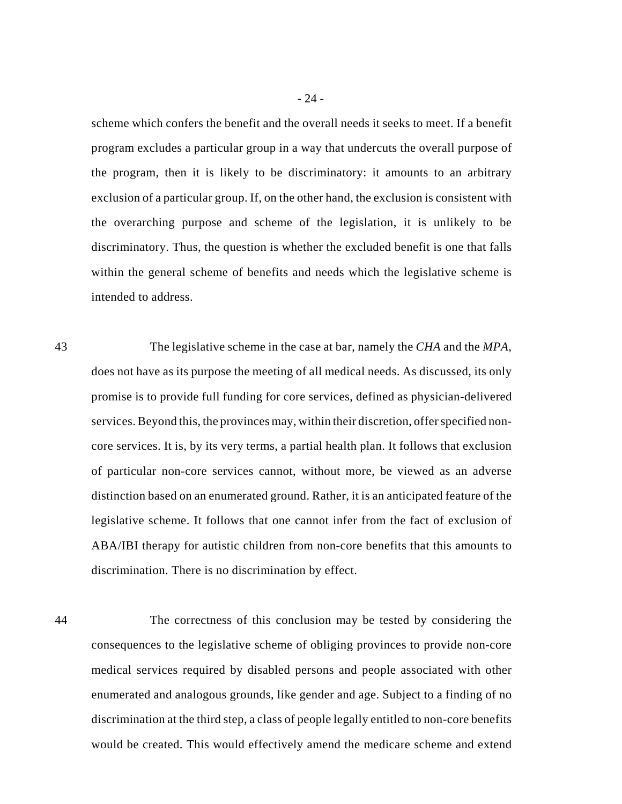scheme which confers the benefit and the overall needs it seeks to meet. If a benefit program excludes a particular group in a way that undercuts the overall purpose of the program, then it is likely to be discriminatory: it amounts to an arbitrary exclusion of a particular group. If, on the other hand, the exclusion is consistent with the overarching purpose and scheme of the legislation, it is unlikely to be discriminatory. Thus, the question is whether the excluded benefit is one that falls within the general scheme of benefits and needs which the legislative scheme is intended to address.

43 The legislative scheme in the case at bar, namely the *CHA* and the *MPA*, does not have as its purpose the meeting of all medical needs. As discussed, its only promise is to provide full funding for core services, defined as physician-delivered services. Beyond this, the provinces may, within their discretion, offer specified noncore services. It is, by its very terms, a partial health plan. It follows that exclusion of particular non-core services cannot, without more, be viewed as an adverse distinction based on an enumerated ground. Rather, it is an anticipated feature of the legislative scheme. It follows that one cannot infer from the fact of exclusion of ABA/IBI therapy for autistic children from non-core benefits that this amounts to discrimination. There is no discrimination by effect.

44 The correctness of this conclusion may be tested by considering the consequences to the legislative scheme of obliging provinces to provide non-core medical services required by disabled persons and people associated with other enumerated and analogous grounds, like gender and age. Subject to a finding of no discrimination at the third step, a class of people legally entitled to non-core benefits would be created. This would effectively amend the medicare scheme and extend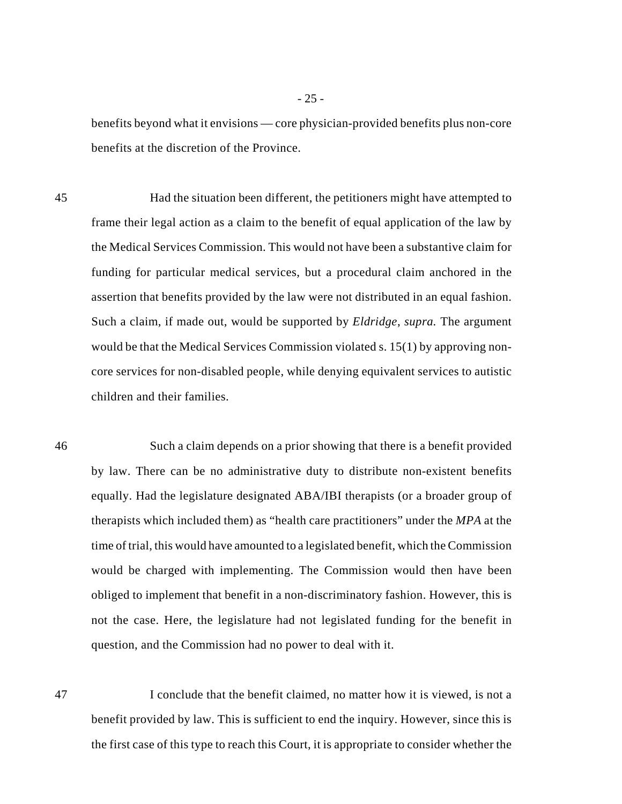benefits beyond what it envisions — core physician-provided benefits plus non-core benefits at the discretion of the Province.

45 Had the situation been different, the petitioners might have attempted to frame their legal action as a claim to the benefit of equal application of the law by the Medical Services Commission. This would not have been a substantive claim for funding for particular medical services, but a procedural claim anchored in the assertion that benefits provided by the law were not distributed in an equal fashion. Such a claim, if made out, would be supported by *Eldridge*, *supra.* The argument would be that the Medical Services Commission violated s. 15(1) by approving noncore services for non-disabled people, while denying equivalent services to autistic children and their families.

46 Such a claim depends on a prior showing that there is a benefit provided by law. There can be no administrative duty to distribute non-existent benefits equally. Had the legislature designated ABA/IBI therapists (or a broader group of therapists which included them) as "health care practitioners" under the *MPA* at the time of trial, this would have amounted to a legislated benefit, which the Commission would be charged with implementing. The Commission would then have been obliged to implement that benefit in a non-discriminatory fashion. However, this is not the case. Here, the legislature had not legislated funding for the benefit in question, and the Commission had no power to deal with it.

47 I conclude that the benefit claimed, no matter how it is viewed, is not a benefit provided by law. This is sufficient to end the inquiry. However, since this is the first case of this type to reach this Court, it is appropriate to consider whether the

- 25 -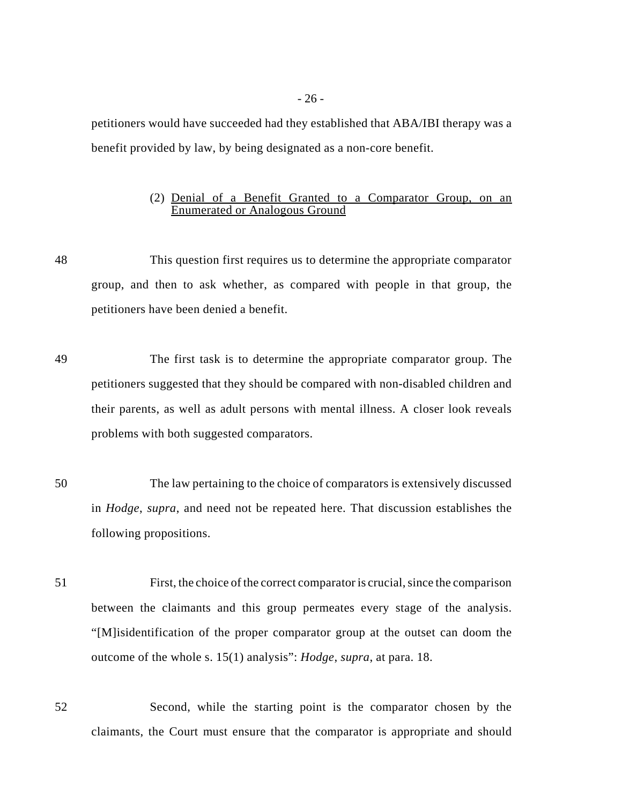petitioners would have succeeded had they established that ABA/IBI therapy was a benefit provided by law, by being designated as a non-core benefit.

# (2) Denial of a Benefit Granted to a Comparator Group, on an Enumerated or Analogous Ground

48 This question first requires us to determine the appropriate comparator group, and then to ask whether, as compared with people in that group, the petitioners have been denied a benefit.

49 The first task is to determine the appropriate comparator group. The petitioners suggested that they should be compared with non-disabled children and their parents, as well as adult persons with mental illness. A closer look reveals problems with both suggested comparators.

50 The law pertaining to the choice of comparators is extensively discussed in *Hodge*, *supra*, and need not be repeated here. That discussion establishes the following propositions.

51 First, the choice of the correct comparator is crucial, since the comparison between the claimants and this group permeates every stage of the analysis. "[M]isidentification of the proper comparator group at the outset can doom the outcome of the whole s. 15(1) analysis": *Hodge*, *supra*, at para. 18.

52 Second, while the starting point is the comparator chosen by the claimants, the Court must ensure that the comparator is appropriate and should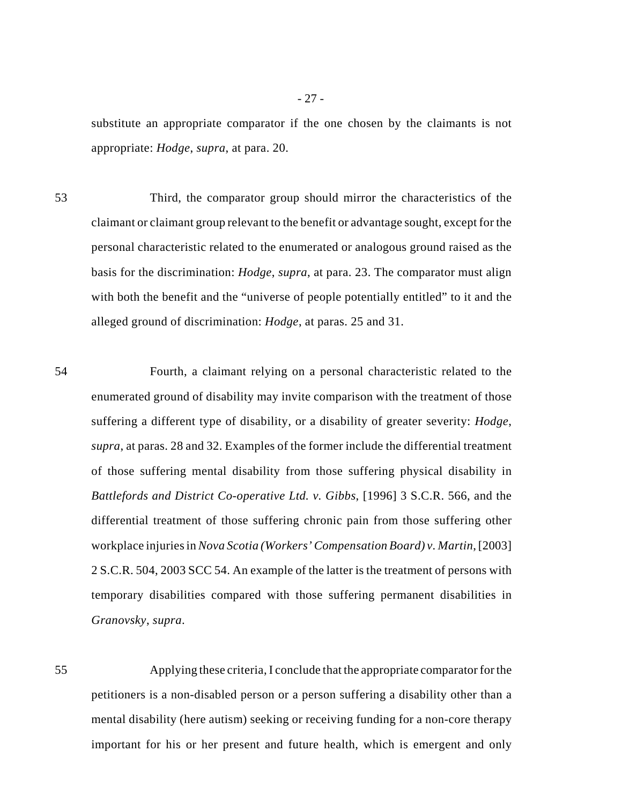substitute an appropriate comparator if the one chosen by the claimants is not appropriate: *Hodge*, *supra*, at para. 20.

53 Third, the comparator group should mirror the characteristics of the claimant or claimant group relevant to the benefit or advantage sought, except for the personal characteristic related to the enumerated or analogous ground raised as the basis for the discrimination: *Hodge*, *supra*, at para. 23. The comparator must align with both the benefit and the "universe of people potentially entitled" to it and the alleged ground of discrimination: *Hodge*, at paras. 25 and 31.

54 Fourth, a claimant relying on a personal characteristic related to the enumerated ground of disability may invite comparison with the treatment of those suffering a different type of disability, or a disability of greater severity: *Hodge*, *supra*, at paras. 28 and 32. Examples of the former include the differential treatment of those suffering mental disability from those suffering physical disability in *Battlefords and District Co-operative Ltd. v. Gibbs*, [1996] 3 S.C.R. 566, and the differential treatment of those suffering chronic pain from those suffering other workplace injuries in *Nova Scotia (Workers' Compensation Board) v. Martin*, [2003] 2 S.C.R. 504, 2003 SCC 54. An example of the latter is the treatment of persons with temporary disabilities compared with those suffering permanent disabilities in *Granovsky*, *supra*.

55 Applying these criteria, I conclude that the appropriate comparator for the petitioners is a non-disabled person or a person suffering a disability other than a mental disability (here autism) seeking or receiving funding for a non-core therapy important for his or her present and future health, which is emergent and only

- 27 -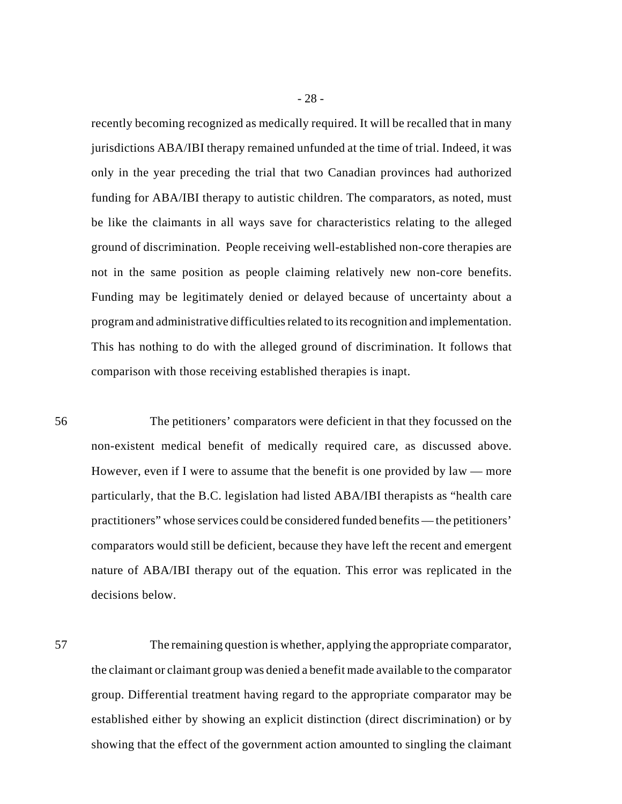recently becoming recognized as medically required. It will be recalled that in many jurisdictions ABA/IBI therapy remained unfunded at the time of trial. Indeed, it was only in the year preceding the trial that two Canadian provinces had authorized funding for ABA/IBI therapy to autistic children. The comparators, as noted, must be like the claimants in all ways save for characteristics relating to the alleged ground of discrimination. People receiving well-established non-core therapies are not in the same position as people claiming relatively new non-core benefits. Funding may be legitimately denied or delayed because of uncertainty about a program and administrative difficulties related to its recognition and implementation. This has nothing to do with the alleged ground of discrimination. It follows that comparison with those receiving established therapies is inapt.

56 The petitioners' comparators were deficient in that they focussed on the non-existent medical benefit of medically required care, as discussed above. However, even if I were to assume that the benefit is one provided by law — more particularly, that the B.C. legislation had listed ABA/IBI therapists as "health care practitioners" whose services could be considered funded benefits — the petitioners' comparators would still be deficient, because they have left the recent and emergent nature of ABA/IBI therapy out of the equation. This error was replicated in the decisions below.

57 The remaining question is whether, applying the appropriate comparator, the claimant or claimant group was denied a benefit made available to the comparator group. Differential treatment having regard to the appropriate comparator may be established either by showing an explicit distinction (direct discrimination) or by showing that the effect of the government action amounted to singling the claimant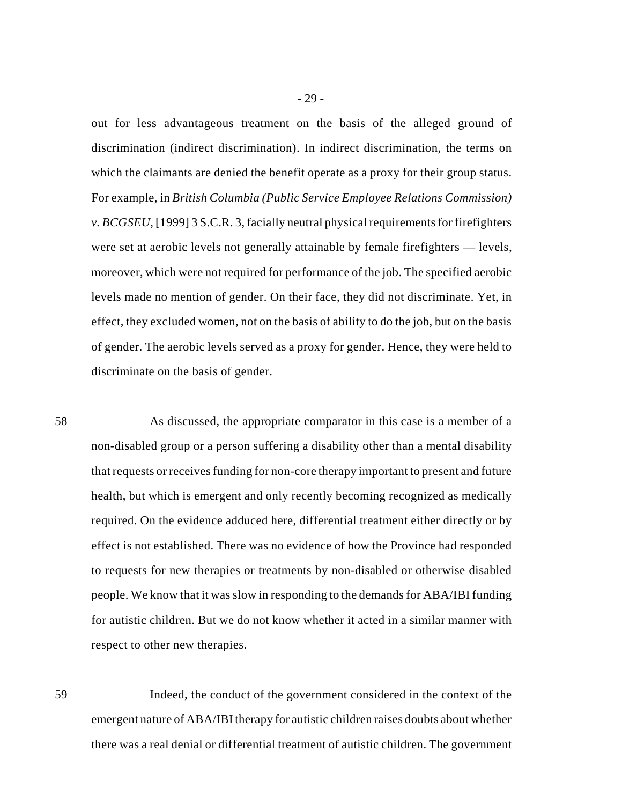out for less advantageous treatment on the basis of the alleged ground of discrimination (indirect discrimination). In indirect discrimination, the terms on which the claimants are denied the benefit operate as a proxy for their group status. For example, in *British Columbia (Public Service Employee Relations Commission) v. BCGSEU*, [1999] 3 S.C.R. 3, facially neutral physical requirements for firefighters were set at aerobic levels not generally attainable by female firefighters — levels, moreover, which were not required for performance of the job. The specified aerobic levels made no mention of gender. On their face, they did not discriminate. Yet, in effect, they excluded women, not on the basis of ability to do the job, but on the basis of gender. The aerobic levels served as a proxy for gender. Hence, they were held to discriminate on the basis of gender.

58 As discussed, the appropriate comparator in this case is a member of a non-disabled group or a person suffering a disability other than a mental disability that requests or receives funding for non-core therapy important to present and future health, but which is emergent and only recently becoming recognized as medically required. On the evidence adduced here, differential treatment either directly or by effect is not established. There was no evidence of how the Province had responded to requests for new therapies or treatments by non-disabled or otherwise disabled people. We know that it was slow in responding to the demands for ABA/IBI funding for autistic children. But we do not know whether it acted in a similar manner with respect to other new therapies.

59 Indeed, the conduct of the government considered in the context of the emergent nature of ABA/IBI therapy for autistic children raises doubts about whether there was a real denial or differential treatment of autistic children. The government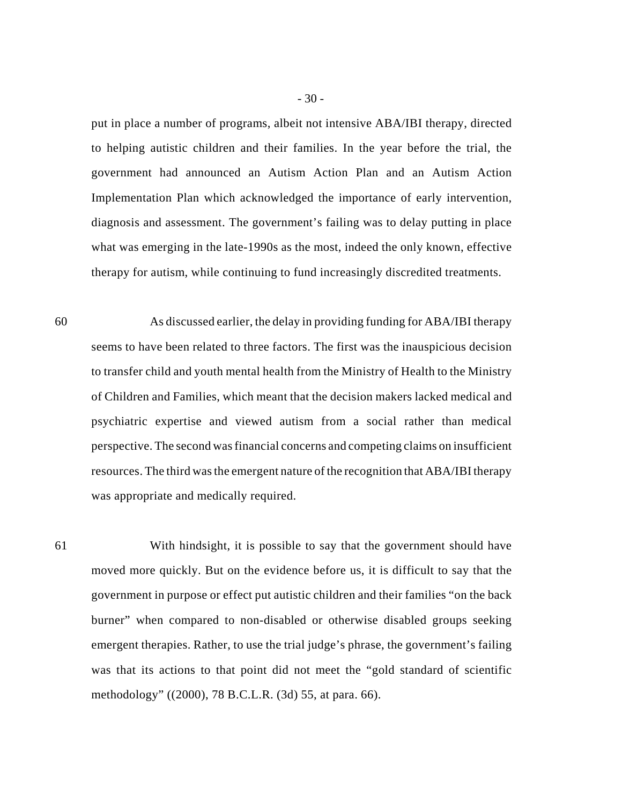put in place a number of programs, albeit not intensive ABA/IBI therapy, directed to helping autistic children and their families. In the year before the trial, the government had announced an Autism Action Plan and an Autism Action Implementation Plan which acknowledged the importance of early intervention, diagnosis and assessment. The government's failing was to delay putting in place what was emerging in the late-1990s as the most, indeed the only known, effective therapy for autism, while continuing to fund increasingly discredited treatments.

60 As discussed earlier, the delay in providing funding for ABA/IBI therapy seems to have been related to three factors. The first was the inauspicious decision to transfer child and youth mental health from the Ministry of Health to the Ministry of Children and Families, which meant that the decision makers lacked medical and psychiatric expertise and viewed autism from a social rather than medical perspective. The second was financial concerns and competing claims on insufficient resources. The third was the emergent nature of the recognition that ABA/IBI therapy was appropriate and medically required.

61 With hindsight, it is possible to say that the government should have moved more quickly. But on the evidence before us, it is difficult to say that the government in purpose or effect put autistic children and their families "on the back burner" when compared to non-disabled or otherwise disabled groups seeking emergent therapies. Rather, to use the trial judge's phrase, the government's failing was that its actions to that point did not meet the "gold standard of scientific methodology" ((2000), 78 B.C.L.R. (3d) 55, at para. 66).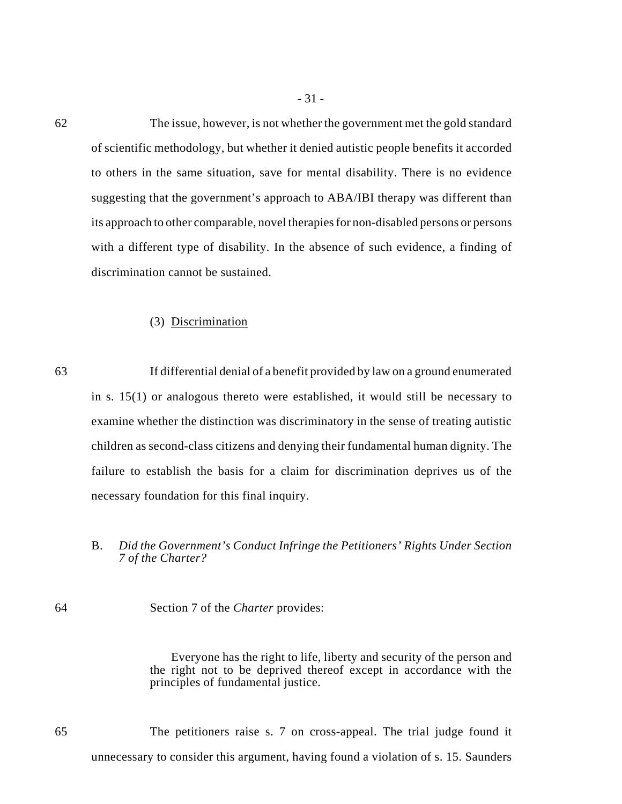62 The issue, however, is not whether the government met the gold standard of scientific methodology, but whether it denied autistic people benefits it accorded to others in the same situation, save for mental disability. There is no evidence suggesting that the government's approach to ABA/IBI therapy was different than its approach to other comparable, novel therapies for non-disabled persons or persons with a different type of disability. In the absence of such evidence, a finding of discrimination cannot be sustained.

- 31 -

### (3) Discrimination

63 If differential denial of a benefit provided by law on a ground enumerated in s. 15(1) or analogous thereto were established, it would still be necessary to examine whether the distinction was discriminatory in the sense of treating autistic children as second-class citizens and denying their fundamental human dignity. The failure to establish the basis for a claim for discrimination deprives us of the necessary foundation for this final inquiry.

# B. *Did the Government's Conduct Infringe the Petitioners' Rights Under Section 7 of the Charter?*

64 Section 7 of the *Charter* provides:

Everyone has the right to life, liberty and security of the person and the right not to be deprived thereof except in accordance with the principles of fundamental justice.

65 The petitioners raise s. 7 on cross-appeal. The trial judge found it unnecessary to consider this argument, having found a violation of s. 15. Saunders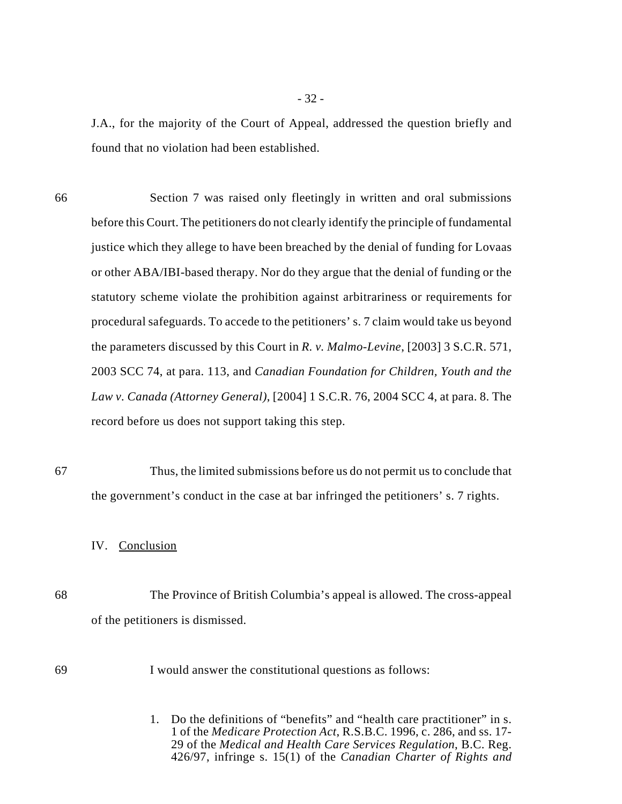J.A., for the majority of the Court of Appeal, addressed the question briefly and found that no violation had been established.

- 66 Section 7 was raised only fleetingly in written and oral submissions before this Court. The petitioners do not clearly identify the principle of fundamental justice which they allege to have been breached by the denial of funding for Lovaas or other ABA/IBI-based therapy. Nor do they argue that the denial of funding or the statutory scheme violate the prohibition against arbitrariness or requirements for procedural safeguards. To accede to the petitioners' s. 7 claim would take us beyond the parameters discussed by this Court in *R. v. Malmo-Levine*, [2003] 3 S.C.R. 571, 2003 SCC 74, at para. 113, and *Canadian Foundation for Children, Youth and the Law v. Canada (Attorney General)*, [2004] 1 S.C.R. 76, 2004 SCC 4, at para. 8. The record before us does not support taking this step.
- 67 Thus, the limited submissions before us do not permit us to conclude that the government's conduct in the case at bar infringed the petitioners' s. 7 rights.

# IV. Conclusion

68 The Province of British Columbia's appeal is allowed. The cross-appeal of the petitioners is dismissed.

# 69 I would answer the constitutional questions as follows:

1. Do the definitions of "benefits" and "health care practitioner" in s. 1 of the *Medicare Protection Act*, R.S.B.C. 1996, c. 286, and ss. 17- 29 of the *Medical and Health Care Services Regulation*, B.C. Reg. 426/97, infringe s. 15(1) of the *Canadian Charter of Rights and*

- 32 -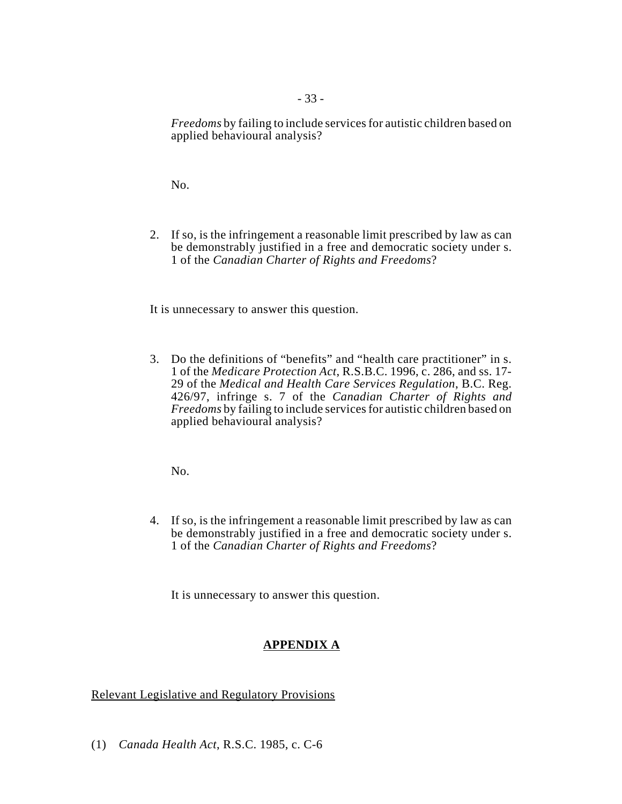*Freedoms* by failing to include services for autistic children based on applied behavioural analysis?

No.

2. If so, is the infringement a reasonable limit prescribed by law as can be demonstrably justified in a free and democratic society under s. 1 of the *Canadian Charter of Rights and Freedoms*?

It is unnecessary to answer this question.

3. Do the definitions of "benefits" and "health care practitioner" in s. 1 of the *Medicare Protection Act*, R.S.B.C. 1996, c. 286, and ss. 17- 29 of the *Medical and Health Care Services Regulation*, B.C. Reg. 426/97, infringe s. 7 of the *Canadian Charter of Rights and Freedoms* by failing to include services for autistic children based on applied behavioural analysis?

No.

4. If so, is the infringement a reasonable limit prescribed by law as can be demonstrably justified in a free and democratic society under s. 1 of the *Canadian Charter of Rights and Freedoms*?

It is unnecessary to answer this question.

# **APPENDIX A**

Relevant Legislative and Regulatory Provisions

(1) *Canada Health Act*, R.S.C. 1985, c. C-6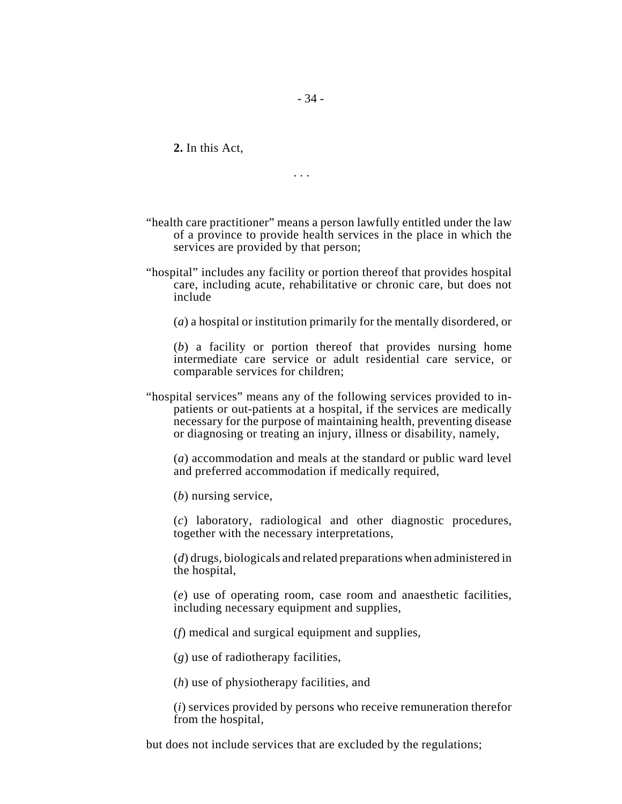**2.** In this Act,

. . .

- 34 -

- "health care practitioner" means a person lawfully entitled under the law of a province to provide health services in the place in which the services are provided by that person;
- "hospital" includes any facility or portion thereof that provides hospital care, including acute, rehabilitative or chronic care, but does not include

(*a*) a hospital or institution primarily for the mentally disordered, or

(*b*) a facility or portion thereof that provides nursing home intermediate care service or adult residential care service, or comparable services for children;

"hospital services" means any of the following services provided to inpatients or out-patients at a hospital, if the services are medically necessary for the purpose of maintaining health, preventing disease or diagnosing or treating an injury, illness or disability, namely,

(*a*) accommodation and meals at the standard or public ward level and preferred accommodation if medically required,

(*b*) nursing service,

(*c*) laboratory, radiological and other diagnostic procedures, together with the necessary interpretations,

(*d*) drugs, biologicals and related preparations when administered in the hospital,

(*e*) use of operating room, case room and anaesthetic facilities, including necessary equipment and supplies,

(*f*) medical and surgical equipment and supplies,

(*g*) use of radiotherapy facilities,

(*h*) use of physiotherapy facilities, and

(*i*) services provided by persons who receive remuneration therefor from the hospital,

but does not include services that are excluded by the regulations;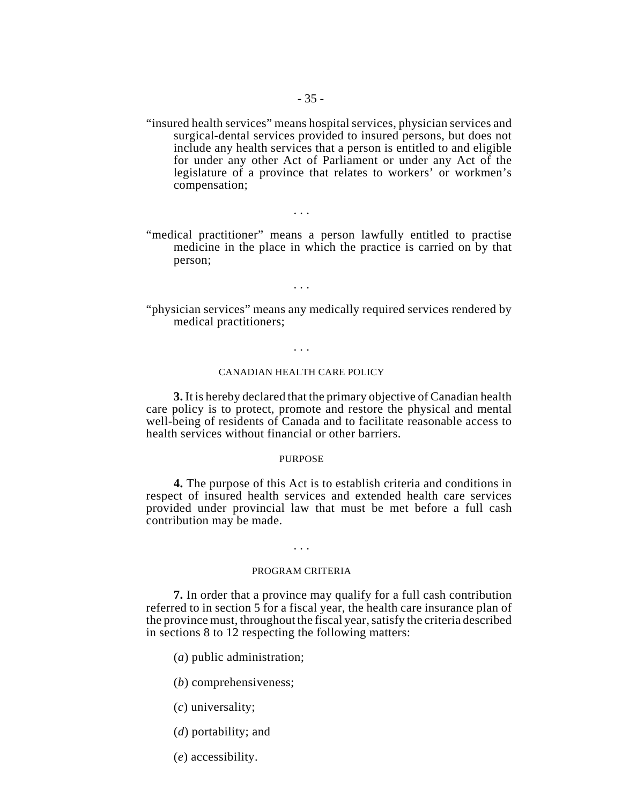"insured health services" means hospital services, physician services and surgical-dental services provided to insured persons, but does not include any health services that a person is entitled to and eligible for under any other Act of Parliament or under any Act of the legislature of a province that relates to workers' or workmen's compensation;

"medical practitioner" means a person lawfully entitled to practise medicine in the place in which the practice is carried on by that person;

. . .

. . .

"physician services" means any medically required services rendered by medical practitioners;

. . .

#### CANADIAN HEALTH CARE POLICY

**3.** It is hereby declared that the primary objective of Canadian health care policy is to protect, promote and restore the physical and mental well-being of residents of Canada and to facilitate reasonable access to health services without financial or other barriers.

#### PURPOSE

**4.** The purpose of this Act is to establish criteria and conditions in respect of insured health services and extended health care services provided under provincial law that must be met before a full cash contribution may be made.

# . . .

#### PROGRAM CRITERIA

**7.** In order that a province may qualify for a full cash contribution referred to in section 5 for a fiscal year, the health care insurance plan of the province must, throughout the fiscal year, satisfy the criteria described in sections 8 to 12 respecting the following matters:

- (*a*) public administration;
- (*b*) comprehensiveness;
- (*c*) universality;
- (*d*) portability; and
- (*e*) accessibility.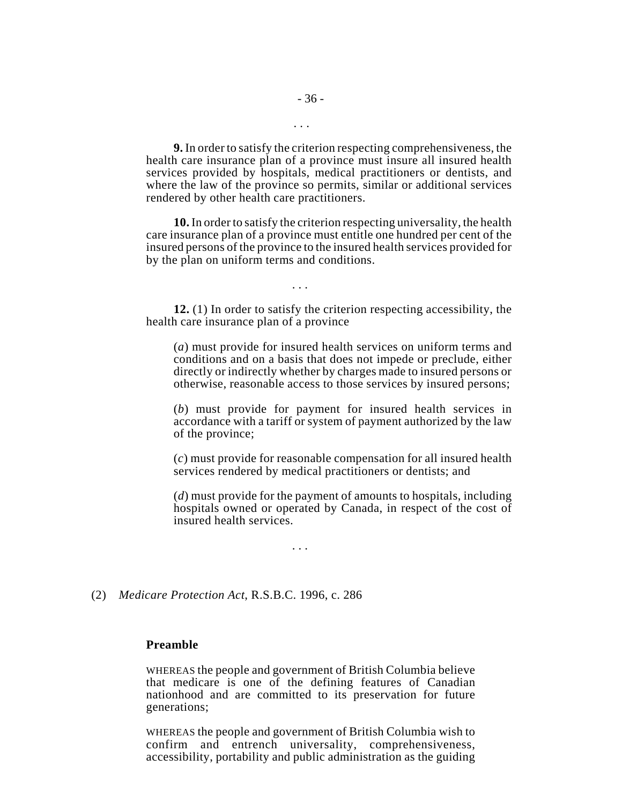**9.** In order to satisfy the criterion respecting comprehensiveness, the health care insurance plan of a province must insure all insured health services provided by hospitals, medical practitioners or dentists, and where the law of the province so permits, similar or additional services rendered by other health care practitioners.

**10.** In order to satisfy the criterion respecting universality, the health care insurance plan of a province must entitle one hundred per cent of the insured persons of the province to the insured health services provided for by the plan on uniform terms and conditions.

. . .

**12.** (1) In order to satisfy the criterion respecting accessibility, the health care insurance plan of a province

(*a*) must provide for insured health services on uniform terms and conditions and on a basis that does not impede or preclude, either directly or indirectly whether by charges made to insured persons or otherwise, reasonable access to those services by insured persons;

(*b*) must provide for payment for insured health services in accordance with a tariff or system of payment authorized by the law of the province;

(*c*) must provide for reasonable compensation for all insured health services rendered by medical practitioners or dentists; and

(*d*) must provide for the payment of amounts to hospitals, including hospitals owned or operated by Canada, in respect of the cost of insured health services.

. . .

#### (2) *Medicare Protection Act*, R.S.B.C. 1996, c. 286

# **Preamble**

WHEREAS the people and government of British Columbia believe that medicare is one of the defining features of Canadian nationhood and are committed to its preservation for future generations;

WHEREAS the people and government of British Columbia wish to confirm and entrench universality, comprehensiveness, accessibility, portability and public administration as the guiding

. . .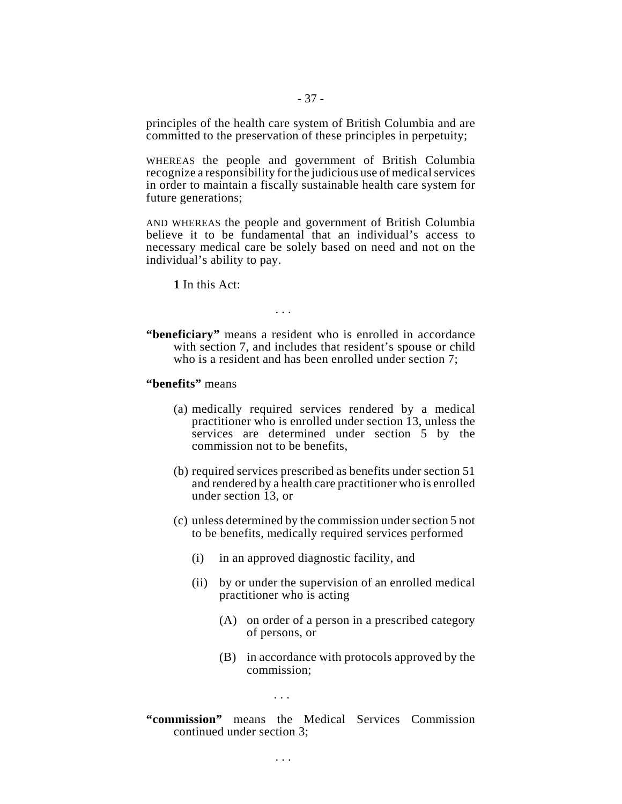principles of the health care system of British Columbia and are committed to the preservation of these principles in perpetuity;

WHEREAS the people and government of British Columbia recognize a responsibility for the judicious use of medical services in order to maintain a fiscally sustainable health care system for future generations;

AND WHEREAS the people and government of British Columbia believe it to be fundamental that an individual's access to necessary medical care be solely based on need and not on the individual's ability to pay.

**1** In this Act:

. . .

**"beneficiary"** means a resident who is enrolled in accordance with section 7, and includes that resident's spouse or child who is a resident and has been enrolled under section 7;

**"benefits"** means

- (a) medically required services rendered by a medical practitioner who is enrolled under section 13, unless the services are determined under section 5 by the commission not to be benefits,
- (b) required services prescribed as benefits under section 51 and rendered by a health care practitioner who is enrolled under section 13, or
- (c) unless determined by the commission under section 5 not to be benefits, medically required services performed
	- (i) in an approved diagnostic facility, and
	- (ii) by or under the supervision of an enrolled medical practitioner who is acting
		- (A) on order of a person in a prescribed category of persons, or
		- (B) in accordance with protocols approved by the commission;

. . .

. . .

**"commission"** means the Medical Services Commission continued under section 3;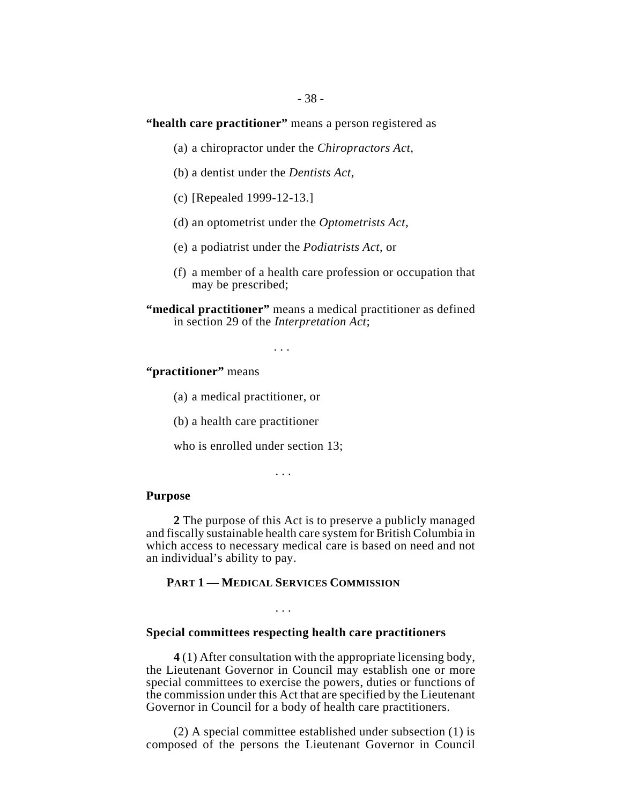# **"health care practitioner"** means a person registered as

- (a) a chiropractor under the *Chiropractors Act*,
- (b) a dentist under the *Dentists Act*,
- (c) [Repealed 1999-12-13.]
- (d) an optometrist under the *Optometrists Act*,
- (e) a podiatrist under the *Podiatrists Act*, or
- (f) a member of a health care profession or occupation that may be prescribed;

. . .

# **"practitioner"** means

(a) a medical practitioner, or

(b) a health care practitioner

who is enrolled under section 13;

. . .

#### **Purpose**

**2** The purpose of this Act is to preserve a publicly managed and fiscally sustainable health care system for British Columbia in which access to necessary medical care is based on need and not an individual's ability to pay.

# **PART 1 — MEDICAL SERVICES COMMISSION**

. . .

#### **Special committees respecting health care practitioners**

**4** (1) After consultation with the appropriate licensing body, the Lieutenant Governor in Council may establish one or more special committees to exercise the powers, duties or functions of the commission under this Act that are specified by the Lieutenant Governor in Council for a body of health care practitioners.

(2) A special committee established under subsection (1) is composed of the persons the Lieutenant Governor in Council

**<sup>&</sup>quot;medical practitioner"** means a medical practitioner as defined in section 29 of the *Interpretation Act*;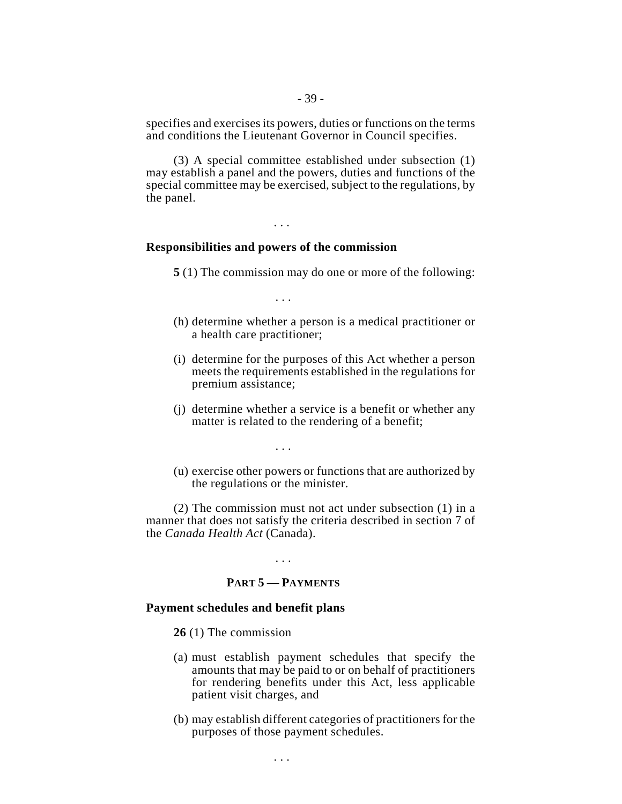specifies and exercises its powers, duties or functions on the terms and conditions the Lieutenant Governor in Council specifies.

(3) A special committee established under subsection (1) may establish a panel and the powers, duties and functions of the special committee may be exercised, subject to the regulations, by the panel.

. . .

# **Responsibilities and powers of the commission**

**5** (1) The commission may do one or more of the following:

. . .

- (h) determine whether a person is a medical practitioner or a health care practitioner;
- (i) determine for the purposes of this Act whether a person meets the requirements established in the regulations for premium assistance;
- (j) determine whether a service is a benefit or whether any matter is related to the rendering of a benefit;

. . .

(u) exercise other powers or functions that are authorized by the regulations or the minister.

(2) The commission must not act under subsection (1) in a manner that does not satisfy the criteria described in section 7 of the *Canada Health Act* (Canada).

. . .

# **PART 5 — PAYMENTS**

. . .

### **Payment schedules and benefit plans**

- **26** (1) The commission
- (a) must establish payment schedules that specify the amounts that may be paid to or on behalf of practitioners for rendering benefits under this Act, less applicable patient visit charges, and
- (b) may establish different categories of practitioners for the purposes of those payment schedules.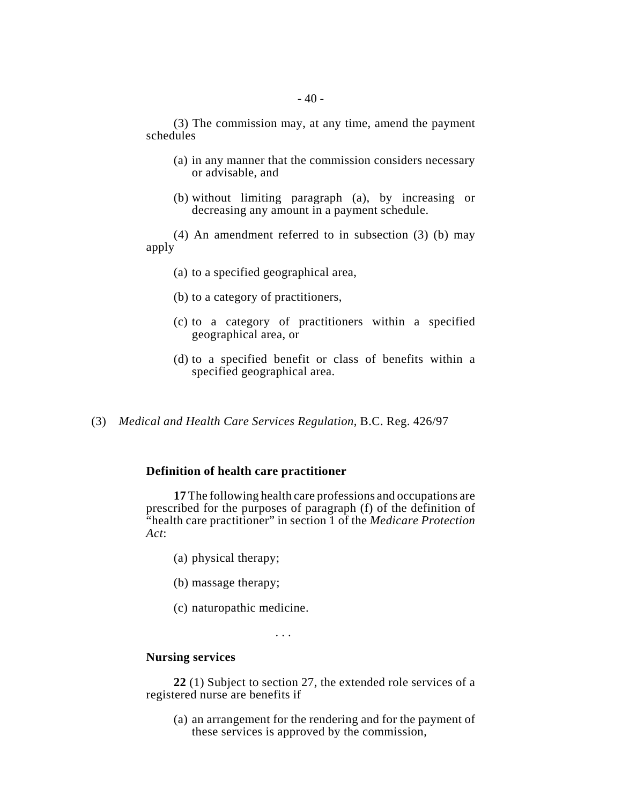(3) The commission may, at any time, amend the payment schedules

- (a) in any manner that the commission considers necessary or advisable, and
- (b) without limiting paragraph (a), by increasing or decreasing any amount in a payment schedule.

(4) An amendment referred to in subsection (3) (b) may apply

- (a) to a specified geographical area,
- (b) to a category of practitioners,
- (c) to a category of practitioners within a specified geographical area, or
- (d) to a specified benefit or class of benefits within a specified geographical area.
- (3) *Medical and Health Care Services Regulation*, B.C. Reg. 426/97

#### **Definition of health care practitioner**

**17** The following health care professions and occupations are prescribed for the purposes of paragraph (f) of the definition of "health care practitioner" in section 1 of the *Medicare Protection Act*:

- (a) physical therapy;
- (b) massage therapy;
- (c) naturopathic medicine.

. . .

# **Nursing services**

**22** (1) Subject to section 27, the extended role services of a registered nurse are benefits if

(a) an arrangement for the rendering and for the payment of these services is approved by the commission,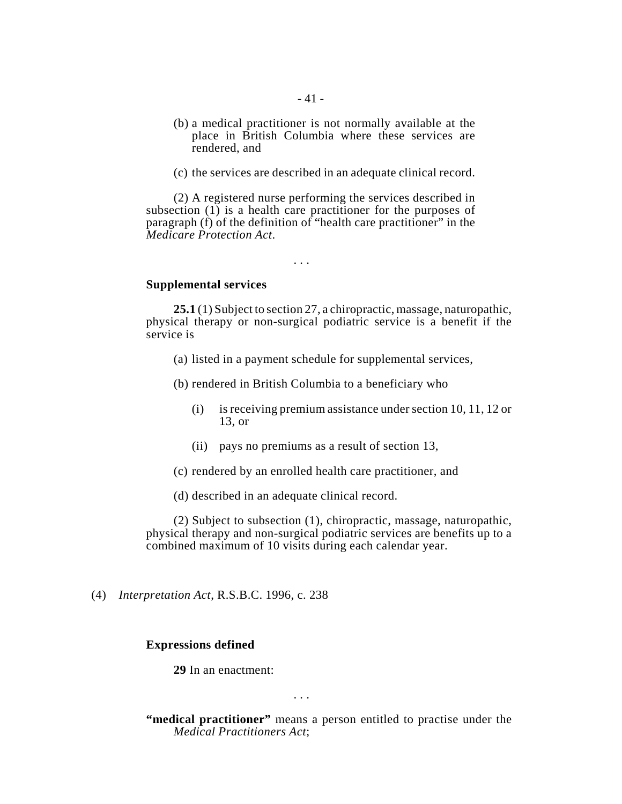- 41 -
- (b) a medical practitioner is not normally available at the place in British Columbia where these services are rendered, and
- (c) the services are described in an adequate clinical record.

(2) A registered nurse performing the services described in subsection (1) is a health care practitioner for the purposes of paragraph (f) of the definition of "health care practitioner" in the *Medicare Protection Act*.

. . .

# **Supplemental services**

**25.1** (1) Subject to section 27, a chiropractic, massage, naturopathic, physical therapy or non-surgical podiatric service is a benefit if the service is

- (a) listed in a payment schedule for supplemental services,
- (b) rendered in British Columbia to a beneficiary who
	- (i) is receiving premium assistance under section 10, 11, 12 or 13, or
	- (ii) pays no premiums as a result of section 13,
- (c) rendered by an enrolled health care practitioner, and
- (d) described in an adequate clinical record.

(2) Subject to subsection (1), chiropractic, massage, naturopathic, physical therapy and non-surgical podiatric services are benefits up to a combined maximum of 10 visits during each calendar year.

(4) *Interpretation Act*, R.S.B.C. 1996, c. 238

### **Expressions defined**

**29** In an enactment:

. . .

**"medical practitioner"** means a person entitled to practise under the *Medical Practitioners Act*;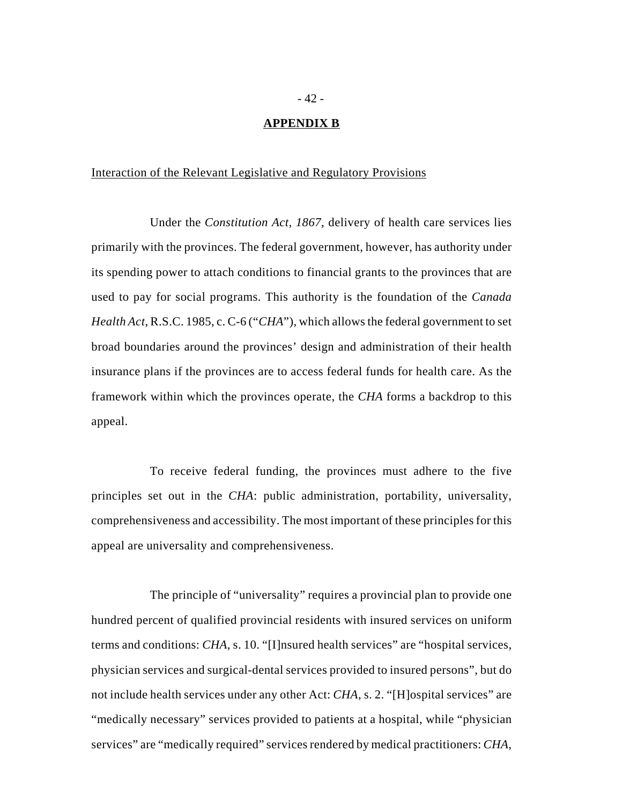# **APPENDIX B**

# Interaction of the Relevant Legislative and Regulatory Provisions

Under the *Constitution Act, 1867*, delivery of health care services lies primarily with the provinces. The federal government, however, has authority under its spending power to attach conditions to financial grants to the provinces that are used to pay for social programs. This authority is the foundation of the *Canada Health Act*, R.S.C. 1985, c. C-6 ("*CHA*"), which allows the federal government to set broad boundaries around the provinces' design and administration of their health insurance plans if the provinces are to access federal funds for health care. As the framework within which the provinces operate, the *CHA* forms a backdrop to this appeal.

To receive federal funding, the provinces must adhere to the five principles set out in the *CHA*: public administration, portability, universality, comprehensiveness and accessibility. The most important of these principles for this appeal are universality and comprehensiveness.

The principle of "universality" requires a provincial plan to provide one hundred percent of qualified provincial residents with insured services on uniform terms and conditions: *CHA*, s. 10. "[I]nsured health services" are "hospital services, physician services and surgical-dental services provided to insured persons", but do not include health services under any other Act: *CHA*, s. 2. "[H]ospital services" are "medically necessary" services provided to patients at a hospital, while "physician services" are "medically required" services rendered by medical practitioners: *CHA*,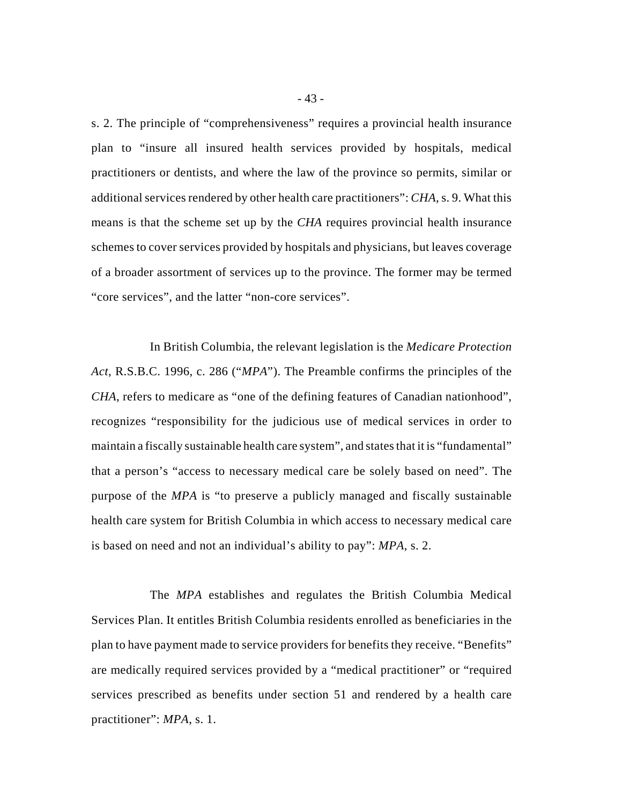s. 2. The principle of "comprehensiveness" requires a provincial health insurance plan to "insure all insured health services provided by hospitals, medical practitioners or dentists, and where the law of the province so permits, similar or additional services rendered by other health care practitioners": *CHA*, s. 9. What this means is that the scheme set up by the *CHA* requires provincial health insurance schemes to cover services provided by hospitals and physicians, but leaves coverage of a broader assortment of services up to the province. The former may be termed "core services", and the latter "non-core services".

In British Columbia, the relevant legislation is the *Medicare Protection Act*, R.S.B.C. 1996, c. 286 ("*MPA*"). The Preamble confirms the principles of the *CHA*, refers to medicare as "one of the defining features of Canadian nationhood", recognizes "responsibility for the judicious use of medical services in order to maintain a fiscally sustainable health care system", and states that it is "fundamental" that a person's "access to necessary medical care be solely based on need". The purpose of the *MPA* is "to preserve a publicly managed and fiscally sustainable health care system for British Columbia in which access to necessary medical care is based on need and not an individual's ability to pay": *MPA*, s. 2.

The *MPA* establishes and regulates the British Columbia Medical Services Plan. It entitles British Columbia residents enrolled as beneficiaries in the plan to have payment made to service providers for benefits they receive. "Benefits" are medically required services provided by a "medical practitioner" or "required services prescribed as benefits under section 51 and rendered by a health care practitioner": *MPA*, s. 1.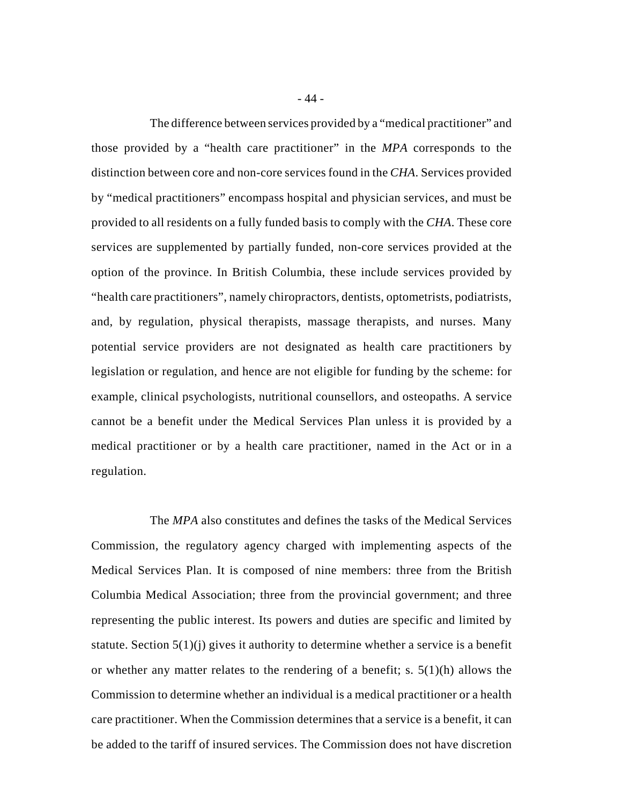The difference between services provided by a "medical practitioner" and those provided by a "health care practitioner" in the *MPA* corresponds to the distinction between core and non-core services found in the *CHA*. Services provided by "medical practitioners" encompass hospital and physician services, and must be provided to all residents on a fully funded basis to comply with the *CHA*. These core services are supplemented by partially funded, non-core services provided at the option of the province. In British Columbia, these include services provided by "health care practitioners", namely chiropractors, dentists, optometrists, podiatrists, and, by regulation, physical therapists, massage therapists, and nurses. Many potential service providers are not designated as health care practitioners by legislation or regulation, and hence are not eligible for funding by the scheme: for example, clinical psychologists, nutritional counsellors, and osteopaths. A service cannot be a benefit under the Medical Services Plan unless it is provided by a medical practitioner or by a health care practitioner, named in the Act or in a regulation.

The *MPA* also constitutes and defines the tasks of the Medical Services Commission, the regulatory agency charged with implementing aspects of the Medical Services Plan. It is composed of nine members: three from the British Columbia Medical Association; three from the provincial government; and three representing the public interest. Its powers and duties are specific and limited by statute. Section  $5(1)(i)$  gives it authority to determine whether a service is a benefit or whether any matter relates to the rendering of a benefit; s. 5(1)(h) allows the Commission to determine whether an individual is a medical practitioner or a health care practitioner. When the Commission determines that a service is a benefit, it can be added to the tariff of insured services. The Commission does not have discretion

- 44 -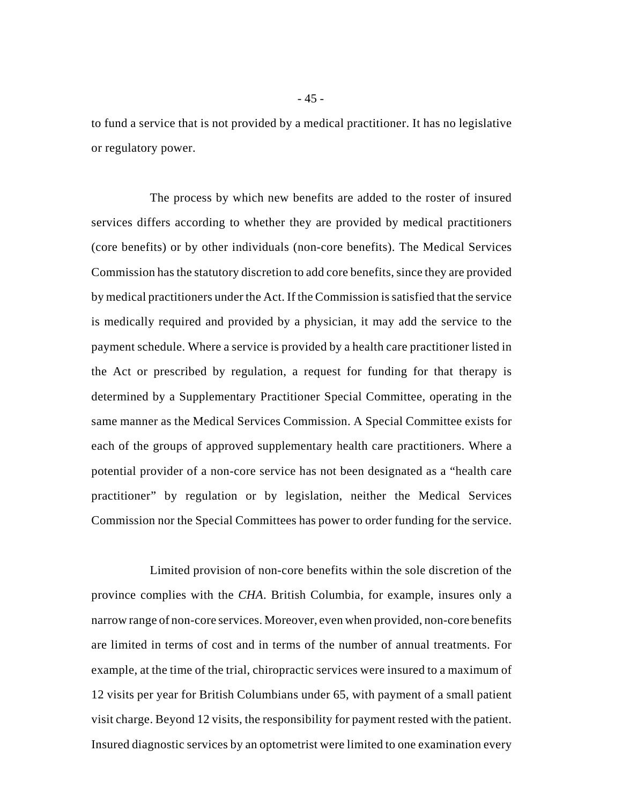to fund a service that is not provided by a medical practitioner. It has no legislative or regulatory power.

The process by which new benefits are added to the roster of insured services differs according to whether they are provided by medical practitioners (core benefits) or by other individuals (non-core benefits). The Medical Services Commission has the statutory discretion to add core benefits, since they are provided by medical practitioners under the Act. If the Commission is satisfied that the service is medically required and provided by a physician, it may add the service to the payment schedule. Where a service is provided by a health care practitioner listed in the Act or prescribed by regulation, a request for funding for that therapy is determined by a Supplementary Practitioner Special Committee, operating in the same manner as the Medical Services Commission. A Special Committee exists for each of the groups of approved supplementary health care practitioners. Where a potential provider of a non-core service has not been designated as a "health care practitioner" by regulation or by legislation, neither the Medical Services Commission nor the Special Committees has power to order funding for the service.

Limited provision of non-core benefits within the sole discretion of the province complies with the *CHA*. British Columbia, for example, insures only a narrow range of non-core services. Moreover, even when provided, non-core benefits are limited in terms of cost and in terms of the number of annual treatments. For example, at the time of the trial, chiropractic services were insured to a maximum of 12 visits per year for British Columbians under 65, with payment of a small patient visit charge. Beyond 12 visits, the responsibility for payment rested with the patient. Insured diagnostic services by an optometrist were limited to one examination every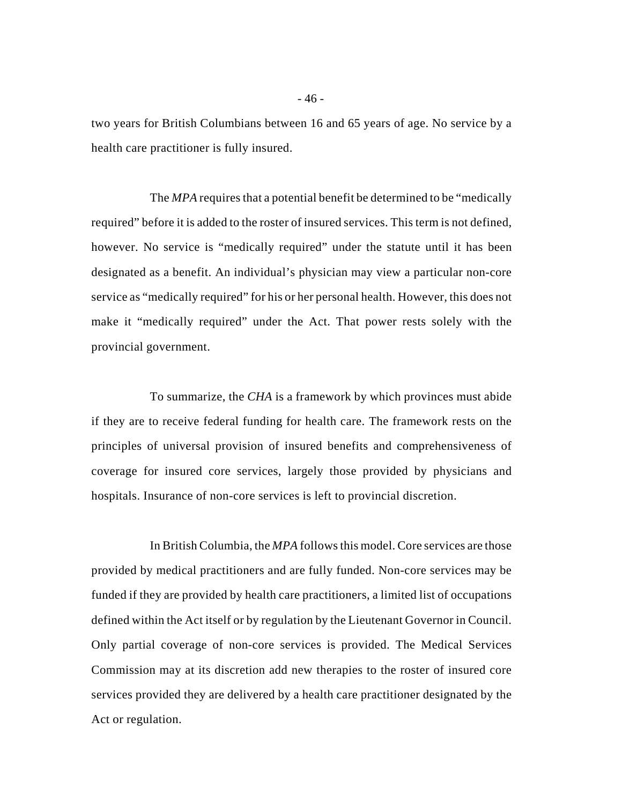two years for British Columbians between 16 and 65 years of age. No service by a health care practitioner is fully insured.

The *MPA* requires that a potential benefit be determined to be "medically required" before it is added to the roster of insured services. This term is not defined, however. No service is "medically required" under the statute until it has been designated as a benefit. An individual's physician may view a particular non-core service as "medically required" for his or her personal health. However, this does not make it "medically required" under the Act. That power rests solely with the provincial government.

To summarize, the *CHA* is a framework by which provinces must abide if they are to receive federal funding for health care. The framework rests on the principles of universal provision of insured benefits and comprehensiveness of coverage for insured core services, largely those provided by physicians and hospitals. Insurance of non-core services is left to provincial discretion.

In British Columbia, the *MPA* follows this model. Core services are those provided by medical practitioners and are fully funded. Non-core services may be funded if they are provided by health care practitioners, a limited list of occupations defined within the Act itself or by regulation by the Lieutenant Governor in Council. Only partial coverage of non-core services is provided. The Medical Services Commission may at its discretion add new therapies to the roster of insured core services provided they are delivered by a health care practitioner designated by the Act or regulation.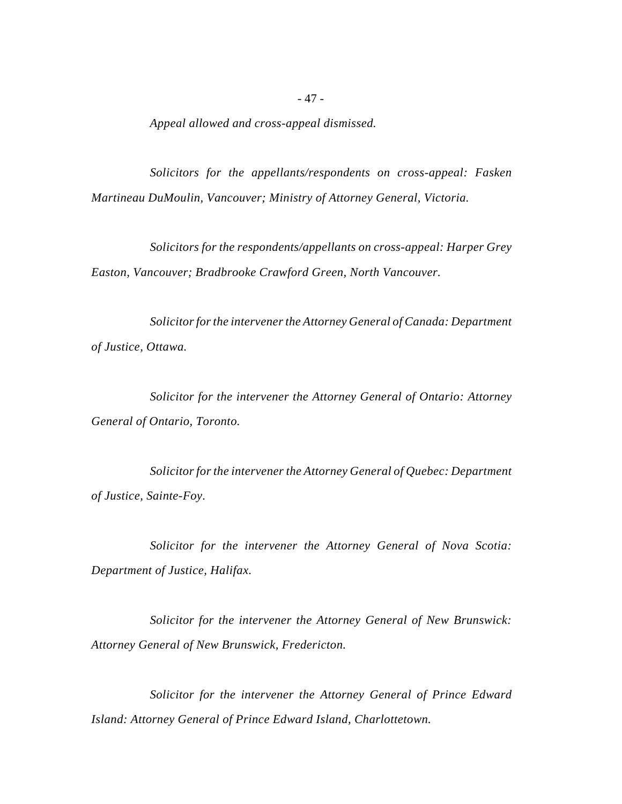*Appeal allowed and cross-appeal dismissed.*

*Solicitors for the appellants/respondents on cross-appeal: Fasken Martineau DuMoulin, Vancouver; Ministry of Attorney General, Victoria.*

*Solicitors for the respondents/appellants on cross-appeal: Harper Grey Easton, Vancouver; Bradbrooke Crawford Green, North Vancouver.*

*Solicitor for the intervener the Attorney General of Canada: Department of Justice, Ottawa.*

*Solicitor for the intervener the Attorney General of Ontario: Attorney General of Ontario, Toronto.*

*Solicitor for the intervener the Attorney General of Quebec: Department of Justice, Sainte-Foy.*

*Solicitor for the intervener the Attorney General of Nova Scotia: Department of Justice, Halifax.*

*Solicitor for the intervener the Attorney General of New Brunswick: Attorney General of New Brunswick, Fredericton.*

*Solicitor for the intervener the Attorney General of Prince Edward Island: Attorney General of Prince Edward Island, Charlottetown.*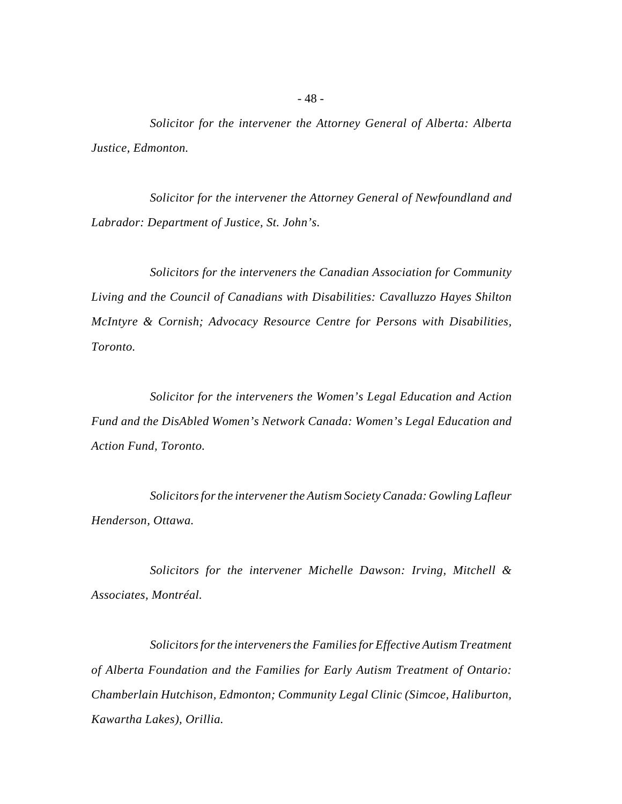*Solicitor for the intervener the Attorney General of Alberta: Alberta Justice, Edmonton.*

*Solicitor for the intervener the Attorney General of Newfoundland and Labrador: Department of Justice, St. John's.*

*Solicitors for the interveners the Canadian Association for Community Living and the Council of Canadians with Disabilities: Cavalluzzo Hayes Shilton McIntyre & Cornish; Advocacy Resource Centre for Persons with Disabilities, Toronto.*

*Solicitor for the interveners the Women's Legal Education and Action Fund and the DisAbled Women's Network Canada: Women's Legal Education and Action Fund, Toronto.*

*Solicitors for the intervener the Autism Society Canada: Gowling Lafleur Henderson, Ottawa.*

*Solicitors for the intervener Michelle Dawson: Irving, Mitchell & Associates, Montréal.*

*Solicitors for the interveners the Families for Effective Autism Treatment of Alberta Foundation and the Families for Early Autism Treatment of Ontario: Chamberlain Hutchison, Edmonton; Community Legal Clinic (Simcoe, Haliburton, Kawartha Lakes), Orillia.*